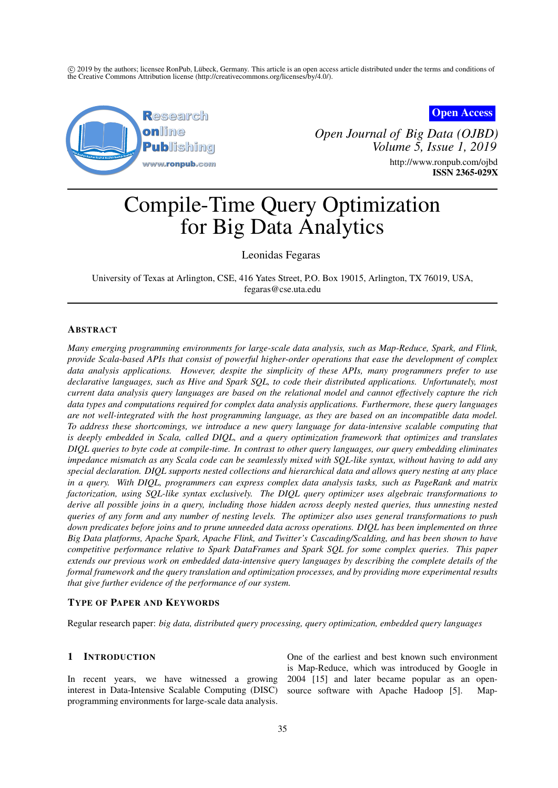c 2019 by the authors; licensee RonPub, Lubeck, Germany. This article is an open access article distributed under the terms and conditions of ¨ the Creative Commons Attribution license [\(http://creativecommons.org/licenses/by/4.0/\)](http://creativecommons.org/licenses/by/4.0/).



# **Open Access**

*Open Journal of Big Data (OJBD) Volume 5, Issue 1, 2019* <http://www.ronpub.com/ojbd> ISSN 2365-029X

# Compile-Time Query Optimization for Big Data Analytics

Leonidas Fegaras

University of Texas at Arlington, CSE, 416 Yates Street, P.O. Box 19015, Arlington, TX 76019, USA, fegaras@cse.uta.edu

# **ABSTRACT**

*Many emerging programming environments for large-scale data analysis, such as Map-Reduce, Spark, and Flink, provide Scala-based APIs that consist of powerful higher-order operations that ease the development of complex data analysis applications. However, despite the simplicity of these APIs, many programmers prefer to use declarative languages, such as Hive and Spark SQL, to code their distributed applications. Unfortunately, most current data analysis query languages are based on the relational model and cannot effectively capture the rich data types and computations required for complex data analysis applications. Furthermore, these query languages are not well-integrated with the host programming language, as they are based on an incompatible data model. To address these shortcomings, we introduce a new query language for data-intensive scalable computing that is deeply embedded in Scala, called DIQL, and a query optimization framework that optimizes and translates DIQL queries to byte code at compile-time. In contrast to other query languages, our query embedding eliminates impedance mismatch as any Scala code can be seamlessly mixed with SQL-like syntax, without having to add any special declaration. DIQL supports nested collections and hierarchical data and allows query nesting at any place in a query. With DIQL, programmers can express complex data analysis tasks, such as PageRank and matrix factorization, using SQL-like syntax exclusively. The DIQL query optimizer uses algebraic transformations to derive all possible joins in a query, including those hidden across deeply nested queries, thus unnesting nested queries of any form and any number of nesting levels. The optimizer also uses general transformations to push down predicates before joins and to prune unneeded data across operations. DIQL has been implemented on three Big Data platforms, Apache Spark, Apache Flink, and Twitter's Cascading/Scalding, and has been shown to have competitive performance relative to Spark DataFrames and Spark SQL for some complex queries. This paper extends our previous work on embedded data-intensive query languages by describing the complete details of the formal framework and the query translation and optimization processes, and by providing more experimental results that give further evidence of the performance of our system.*

# TYPE OF PAPER AND KEYWORDS

Regular research paper: *big data, distributed query processing, query optimization, embedded query languages*

# 1 INTRODUCTION

In recent years, we have witnessed a growing interest in Data-Intensive Scalable Computing (DISC) programming environments for large-scale data analysis.

One of the earliest and best known such environment is Map-Reduce, which was introduced by Google in 2004 [\[15\]](#page-24-0) and later became popular as an open-source software with Apache Hadoop [\[5\]](#page-23-0). Map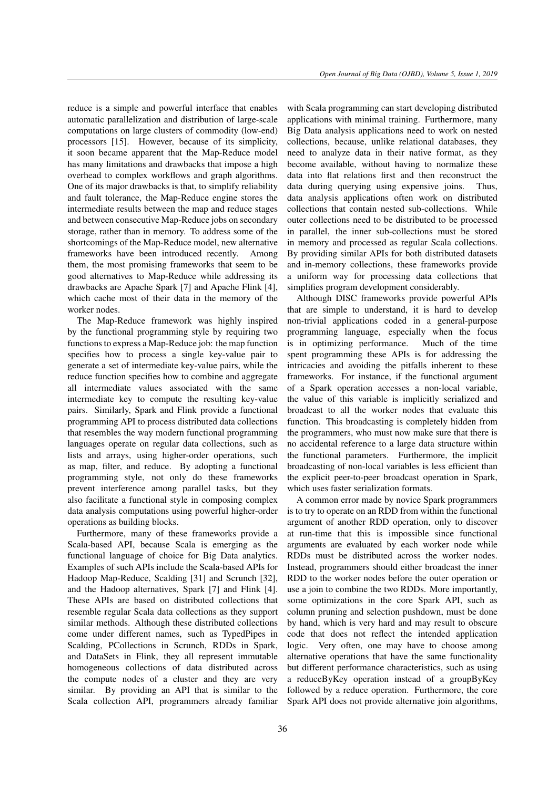reduce is a simple and powerful interface that enables automatic parallelization and distribution of large-scale computations on large clusters of commodity (low-end) processors [\[15\]](#page-24-0). However, because of its simplicity, it soon became apparent that the Map-Reduce model has many limitations and drawbacks that impose a high overhead to complex workflows and graph algorithms. One of its major drawbacks is that, to simplify reliability and fault tolerance, the Map-Reduce engine stores the intermediate results between the map and reduce stages and between consecutive Map-Reduce jobs on secondary storage, rather than in memory. To address some of the shortcomings of the Map-Reduce model, new alternative frameworks have been introduced recently. Among them, the most promising frameworks that seem to be good alternatives to Map-Reduce while addressing its drawbacks are Apache Spark [\[7\]](#page-24-1) and Apache Flink [\[4\]](#page-23-1), which cache most of their data in the memory of the worker nodes.

The Map-Reduce framework was highly inspired by the functional programming style by requiring two functions to express a Map-Reduce job: the map function specifies how to process a single key-value pair to generate a set of intermediate key-value pairs, while the reduce function specifies how to combine and aggregate all intermediate values associated with the same intermediate key to compute the resulting key-value pairs. Similarly, Spark and Flink provide a functional programming API to process distributed data collections that resembles the way modern functional programming languages operate on regular data collections, such as lists and arrays, using higher-order operations, such as map, filter, and reduce. By adopting a functional programming style, not only do these frameworks prevent interference among parallel tasks, but they also facilitate a functional style in composing complex data analysis computations using powerful higher-order operations as building blocks.

Furthermore, many of these frameworks provide a Scala-based API, because Scala is emerging as the functional language of choice for Big Data analytics. Examples of such APIs include the Scala-based APIs for Hadoop Map-Reduce, Scalding [\[31\]](#page-25-0) and Scrunch [\[32\]](#page-25-1), and the Hadoop alternatives, Spark [\[7\]](#page-24-1) and Flink [\[4\]](#page-23-1). These APIs are based on distributed collections that resemble regular Scala data collections as they support similar methods. Although these distributed collections come under different names, such as TypedPipes in Scalding, PCollections in Scrunch, RDDs in Spark, and DataSets in Flink, they all represent immutable homogeneous collections of data distributed across the compute nodes of a cluster and they are very similar. By providing an API that is similar to the Scala collection API, programmers already familiar

with Scala programming can start developing distributed applications with minimal training. Furthermore, many Big Data analysis applications need to work on nested collections, because, unlike relational databases, they need to analyze data in their native format, as they become available, without having to normalize these data into flat relations first and then reconstruct the data during querying using expensive joins. Thus, data analysis applications often work on distributed collections that contain nested sub-collections. While outer collections need to be distributed to be processed in parallel, the inner sub-collections must be stored in memory and processed as regular Scala collections. By providing similar APIs for both distributed datasets and in-memory collections, these frameworks provide a uniform way for processing data collections that simplifies program development considerably.

Although DISC frameworks provide powerful APIs that are simple to understand, it is hard to develop non-trivial applications coded in a general-purpose programming language, especially when the focus is in optimizing performance. Much of the time spent programming these APIs is for addressing the intricacies and avoiding the pitfalls inherent to these frameworks. For instance, if the functional argument of a Spark operation accesses a non-local variable, the value of this variable is implicitly serialized and broadcast to all the worker nodes that evaluate this function. This broadcasting is completely hidden from the programmers, who must now make sure that there is no accidental reference to a large data structure within the functional parameters. Furthermore, the implicit broadcasting of non-local variables is less efficient than the explicit peer-to-peer broadcast operation in Spark, which uses faster serialization formats.

A common error made by novice Spark programmers is to try to operate on an RDD from within the functional argument of another RDD operation, only to discover at run-time that this is impossible since functional arguments are evaluated by each worker node while RDDs must be distributed across the worker nodes. Instead, programmers should either broadcast the inner RDD to the worker nodes before the outer operation or use a join to combine the two RDDs. More importantly, some optimizations in the core Spark API, such as column pruning and selection pushdown, must be done by hand, which is very hard and may result to obscure code that does not reflect the intended application logic. Very often, one may have to choose among alternative operations that have the same functionality but different performance characteristics, such as using a reduceByKey operation instead of a groupByKey followed by a reduce operation. Furthermore, the core Spark API does not provide alternative join algorithms,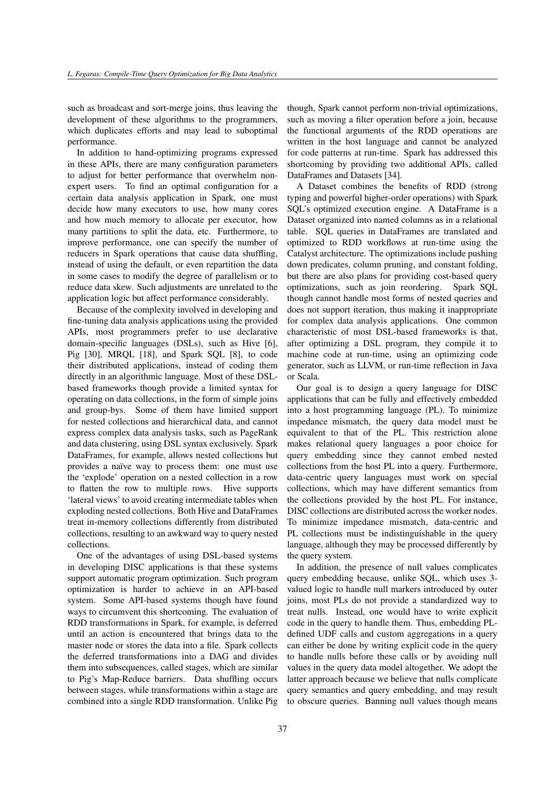such as broadcast and sort-merge joins, thus leaving the development of these algorithms to the programmers, which duplicates efforts and may lead to suboptimal performance.

In addition to hand-optimizing programs expressed in these APIs, there are many configuration parameters to adjust for better performance that overwhelm nonexpert users. To find an optimal configuration for a certain data analysis application in Spark, one must decide how many executors to use, how many cores and how much memory to allocate per executor, how many partitions to split the data, etc. Furthermore, to improve performance, one can specify the number of reducers in Spark operations that cause data shuffling, instead of using the default, or even repartition the data in some cases to modify the degree of parallelism or to reduce data skew. Such adjustments are unrelated to the application logic but affect performance considerably.

Because of the complexity involved in developing and fine-tuning data analysis applications using the provided APIs, most programmers prefer to use declarative domain-specific languages (DSLs), such as Hive [\[6\]](#page-23-2), Pig [\[30\]](#page-25-2), MRQL [\[18\]](#page-24-2), and Spark SQL [\[8\]](#page-24-3), to code their distributed applications, instead of coding them directly in an algorithmic language. Most of these DSLbased frameworks though provide a limited syntax for operating on data collections, in the form of simple joins and group-bys. Some of them have limited support for nested collections and hierarchical data, and cannot express complex data analysis tasks, such as PageRank and data clustering, using DSL syntax exclusively. Spark DataFrames, for example, allows nested collections but provides a naïve way to process them: one must use the 'explode' operation on a nested collection in a row to flatten the row to multiple rows. Hive supports 'lateral views' to avoid creating intermediate tables when exploding nested collections. Both Hive and DataFrames treat in-memory collections differently from distributed collections, resulting to an awkward way to query nested collections.

One of the advantages of using DSL-based systems in developing DISC applications is that these systems support automatic program optimization. Such program optimization is harder to achieve in an API-based system. Some API-based systems though have found ways to circumvent this shortcoming. The evaluation of RDD transformations in Spark, for example, is deferred until an action is encountered that brings data to the master node or stores the data into a file. Spark collects the deferred transformations into a DAG and divides them into subsequences, called stages, which are similar to Pig's Map-Reduce barriers. Data shuffling occurs between stages, while transformations within a stage are combined into a single RDD transformation. Unlike Pig though, Spark cannot perform non-trivial optimizations, such as moving a filter operation before a join, because the functional arguments of the RDD operations are written in the host language and cannot be analyzed for code patterns at run-time. Spark has addressed this shortcoming by providing two additional APIs, called DataFrames and Datasets [\[34\]](#page-25-3).

A Dataset combines the benefits of RDD (strong typing and powerful higher-order operations) with Spark SQL's optimized execution engine. A DataFrame is a Dataset organized into named columns as in a relational table. SQL queries in DataFrames are translated and optimized to RDD workflows at run-time using the Catalyst architecture. The optimizations include pushing down predicates, column pruning, and constant folding, but there are also plans for providing cost-based query optimizations, such as join reordering. Spark SQL though cannot handle most forms of nested queries and does not support iteration, thus making it inappropriate for complex data analysis applications. One common characteristic of most DSL-based frameworks is that, after optimizing a DSL program, they compile it to machine code at run-time, using an optimizing code generator, such as LLVM, or run-time reflection in Java or Scala.

Our goal is to design a query language for DISC applications that can be fully and effectively embedded into a host programming language (PL). To minimize impedance mismatch, the query data model must be equivalent to that of the PL. This restriction alone makes relational query languages a poor choice for query embedding since they cannot embed nested collections from the host PL into a query. Furthermore, data-centric query languages must work on special collections, which may have different semantics from the collections provided by the host PL. For instance, DISC collections are distributed across the worker nodes. To minimize impedance mismatch, data-centric and PL collections must be indistinguishable in the query language, although they may be processed differently by the query system.

In addition, the presence of null values complicates query embedding because, unlike SQL, which uses 3 valued logic to handle null markers introduced by outer joins, most PLs do not provide a standardized way to treat nulls. Instead, one would have to write explicit code in the query to handle them. Thus, embedding PLdefined UDF calls and custom aggregations in a query can either be done by writing explicit code in the query to handle nulls before these calls or by avoiding null values in the query data model altogether. We adopt the latter approach because we believe that nulls complicate query semantics and query embedding, and may result to obscure queries. Banning null values though means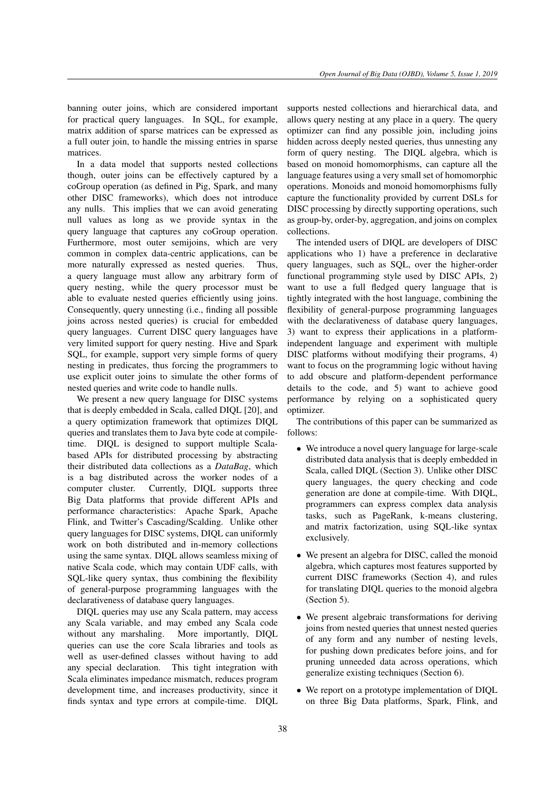banning outer joins, which are considered important for practical query languages. In SQL, for example, matrix addition of sparse matrices can be expressed as a full outer join, to handle the missing entries in sparse matrices.

In a data model that supports nested collections though, outer joins can be effectively captured by a coGroup operation (as defined in Pig, Spark, and many other DISC frameworks), which does not introduce any nulls. This implies that we can avoid generating null values as long as we provide syntax in the query language that captures any coGroup operation. Furthermore, most outer semijoins, which are very common in complex data-centric applications, can be more naturally expressed as nested queries. Thus, a query language must allow any arbitrary form of query nesting, while the query processor must be able to evaluate nested queries efficiently using joins. Consequently, query unnesting (i.e., finding all possible joins across nested queries) is crucial for embedded query languages. Current DISC query languages have very limited support for query nesting. Hive and Spark SQL, for example, support very simple forms of query nesting in predicates, thus forcing the programmers to use explicit outer joins to simulate the other forms of nested queries and write code to handle nulls.

We present a new query language for DISC systems that is deeply embedded in Scala, called DIQL [\[20\]](#page-24-4), and a query optimization framework that optimizes DIQL queries and translates them to Java byte code at compiletime. DIQL is designed to support multiple Scalabased APIs for distributed processing by abstracting their distributed data collections as a *DataBag*, which is a bag distributed across the worker nodes of a computer cluster. Currently, DIQL supports three Big Data platforms that provide different APIs and performance characteristics: Apache Spark, Apache Flink, and Twitter's Cascading/Scalding. Unlike other query languages for DISC systems, DIQL can uniformly work on both distributed and in-memory collections using the same syntax. DIQL allows seamless mixing of native Scala code, which may contain UDF calls, with SQL-like query syntax, thus combining the flexibility of general-purpose programming languages with the declarativeness of database query languages.

DIQL queries may use any Scala pattern, may access any Scala variable, and may embed any Scala code without any marshaling. More importantly, DIQL queries can use the core Scala libraries and tools as well as user-defined classes without having to add any special declaration. This tight integration with Scala eliminates impedance mismatch, reduces program development time, and increases productivity, since it finds syntax and type errors at compile-time. DIQL

supports nested collections and hierarchical data, and allows query nesting at any place in a query. The query optimizer can find any possible join, including joins hidden across deeply nested queries, thus unnesting any form of query nesting. The DIQL algebra, which is based on monoid homomorphisms, can capture all the language features using a very small set of homomorphic operations. Monoids and monoid homomorphisms fully capture the functionality provided by current DSLs for DISC processing by directly supporting operations, such as group-by, order-by, aggregation, and joins on complex collections.

The intended users of DIQL are developers of DISC applications who 1) have a preference in declarative query languages, such as SQL, over the higher-order functional programming style used by DISC APIs, 2) want to use a full fledged query language that is tightly integrated with the host language, combining the flexibility of general-purpose programming languages with the declarativeness of database query languages, 3) want to express their applications in a platformindependent language and experiment with multiple DISC platforms without modifying their programs, 4) want to focus on the programming logic without having to add obscure and platform-dependent performance details to the code, and 5) want to achieve good performance by relying on a sophisticated query optimizer.

The contributions of this paper can be summarized as follows:

- We introduce a novel query language for large-scale distributed data analysis that is deeply embedded in Scala, called DIQL (Section [3\)](#page-6-0). Unlike other DISC query languages, the query checking and code generation are done at compile-time. With DIQL, programmers can express complex data analysis tasks, such as PageRank, k-means clustering, and matrix factorization, using SQL-like syntax exclusively.
- We present an algebra for DISC, called the monoid algebra, which captures most features supported by current DISC frameworks (Section [4\)](#page-9-0), and rules for translating DIQL queries to the monoid algebra (Section [5\)](#page-12-0).
- We present algebraic transformations for deriving joins from nested queries that unnest nested queries of any form and any number of nesting levels, for pushing down predicates before joins, and for pruning unneeded data across operations, which generalize existing techniques (Section [6\)](#page-14-0).
- We report on a prototype implementation of DIQL on three Big Data platforms, Spark, Flink, and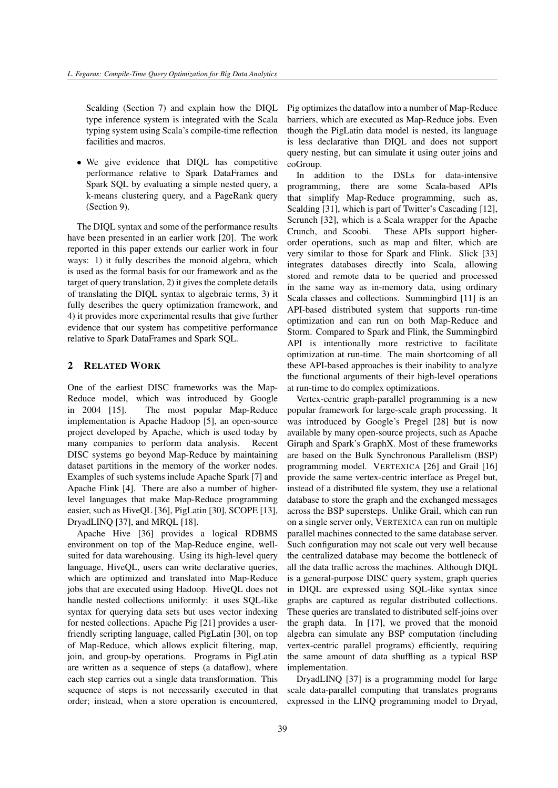Scalding (Section [7\)](#page-17-0) and explain how the DIQL type inference system is integrated with the Scala typing system using Scala's compile-time reflection facilities and macros.

• We give evidence that DIOL has competitive performance relative to Spark DataFrames and Spark SQL by evaluating a simple nested query, a k-means clustering query, and a PageRank query (Section [9\)](#page-19-0).

The DIQL syntax and some of the performance results have been presented in an earlier work [\[20\]](#page-24-4). The work reported in this paper extends our earlier work in four ways: 1) it fully describes the monoid algebra, which is used as the formal basis for our framework and as the target of query translation, 2) it gives the complete details of translating the DIQL syntax to algebraic terms, 3) it fully describes the query optimization framework, and 4) it provides more experimental results that give further evidence that our system has competitive performance relative to Spark DataFrames and Spark SQL.

# 2 RELATED WORK

One of the earliest DISC frameworks was the Map-Reduce model, which was introduced by Google in 2004 [\[15\]](#page-24-0). The most popular Map-Reduce implementation is Apache Hadoop [\[5\]](#page-23-0), an open-source project developed by Apache, which is used today by many companies to perform data analysis. Recent DISC systems go beyond Map-Reduce by maintaining dataset partitions in the memory of the worker nodes. Examples of such systems include Apache Spark [\[7\]](#page-24-1) and Apache Flink [\[4\]](#page-23-1). There are also a number of higherlevel languages that make Map-Reduce programming easier, such as HiveQL [\[36\]](#page-25-4), PigLatin [\[30\]](#page-25-2), SCOPE [\[13\]](#page-24-5), DryadLINQ [\[37\]](#page-25-5), and MRQL [\[18\]](#page-24-2).

Apache Hive [\[36\]](#page-25-4) provides a logical RDBMS environment on top of the Map-Reduce engine, wellsuited for data warehousing. Using its high-level query language, HiveQL, users can write declarative queries, which are optimized and translated into Map-Reduce jobs that are executed using Hadoop. HiveQL does not handle nested collections uniformly: it uses SQL-like syntax for querying data sets but uses vector indexing for nested collections. Apache Pig [\[21\]](#page-24-6) provides a userfriendly scripting language, called PigLatin [\[30\]](#page-25-2), on top of Map-Reduce, which allows explicit filtering, map, join, and group-by operations. Programs in PigLatin are written as a sequence of steps (a dataflow), where each step carries out a single data transformation. This sequence of steps is not necessarily executed in that order; instead, when a store operation is encountered, Pig optimizes the dataflow into a number of Map-Reduce barriers, which are executed as Map-Reduce jobs. Even though the PigLatin data model is nested, its language is less declarative than DIQL and does not support query nesting, but can simulate it using outer joins and coGroup.

In addition to the DSLs for data-intensive programming, there are some Scala-based APIs that simplify Map-Reduce programming, such as, Scalding [\[31\]](#page-25-0), which is part of Twitter's Cascading [\[12\]](#page-24-7), Scrunch [\[32\]](#page-25-1), which is a Scala wrapper for the Apache Crunch, and Scoobi. These APIs support higherorder operations, such as map and filter, which are very similar to those for Spark and Flink. Slick [\[33\]](#page-25-6) integrates databases directly into Scala, allowing stored and remote data to be queried and processed in the same way as in-memory data, using ordinary Scala classes and collections. Summingbird [\[11\]](#page-24-8) is an API-based distributed system that supports run-time optimization and can run on both Map-Reduce and Storm. Compared to Spark and Flink, the Summingbird API is intentionally more restrictive to facilitate optimization at run-time. The main shortcoming of all these API-based approaches is their inability to analyze the functional arguments of their high-level operations at run-time to do complex optimizations.

Vertex-centric graph-parallel programming is a new popular framework for large-scale graph processing. It was introduced by Google's Pregel [\[28\]](#page-24-9) but is now available by many open-source projects, such as Apache Giraph and Spark's GraphX. Most of these frameworks are based on the Bulk Synchronous Parallelism (BSP) programming model. VERTEXICA [\[26\]](#page-24-10) and Grail [\[16\]](#page-24-11) provide the same vertex-centric interface as Pregel but, instead of a distributed file system, they use a relational database to store the graph and the exchanged messages across the BSP supersteps. Unlike Grail, which can run on a single server only, VERTEXICA can run on multiple parallel machines connected to the same database server. Such configuration may not scale out very well because the centralized database may become the bottleneck of all the data traffic across the machines. Although DIQL is a general-purpose DISC query system, graph queries in DIQL are expressed using SQL-like syntax since graphs are captured as regular distributed collections. These queries are translated to distributed self-joins over the graph data. In [\[17\]](#page-24-12), we proved that the monoid algebra can simulate any BSP computation (including vertex-centric parallel programs) efficiently, requiring the same amount of data shuffling as a typical BSP implementation.

DryadLINQ [\[37\]](#page-25-5) is a programming model for large scale data-parallel computing that translates programs expressed in the LINQ programming model to Dryad,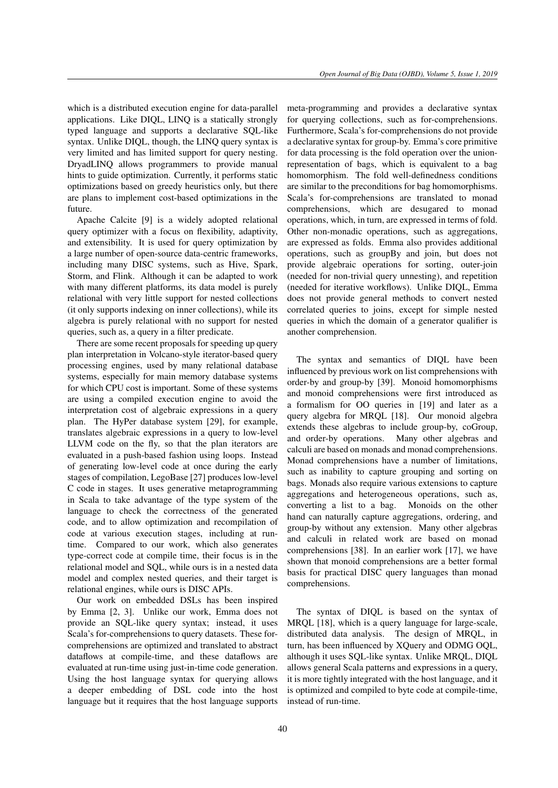which is a distributed execution engine for data-parallel applications. Like DIQL, LINQ is a statically strongly typed language and supports a declarative SQL-like syntax. Unlike DIQL, though, the LINQ query syntax is very limited and has limited support for query nesting. DryadLINQ allows programmers to provide manual hints to guide optimization. Currently, it performs static optimizations based on greedy heuristics only, but there are plans to implement cost-based optimizations in the future.

Apache Calcite [\[9\]](#page-24-13) is a widely adopted relational query optimizer with a focus on flexibility, adaptivity, and extensibility. It is used for query optimization by a large number of open-source data-centric frameworks, including many DISC systems, such as Hive, Spark, Storm, and Flink. Although it can be adapted to work with many different platforms, its data model is purely relational with very little support for nested collections (it only supports indexing on inner collections), while its algebra is purely relational with no support for nested queries, such as, a query in a filter predicate.

There are some recent proposals for speeding up query plan interpretation in Volcano-style iterator-based query processing engines, used by many relational database systems, especially for main memory database systems for which CPU cost is important. Some of these systems are using a compiled execution engine to avoid the interpretation cost of algebraic expressions in a query plan. The HyPer database system [\[29\]](#page-25-7), for example, translates algebraic expressions in a query to low-level LLVM code on the fly, so that the plan iterators are evaluated in a push-based fashion using loops. Instead of generating low-level code at once during the early stages of compilation, LegoBase [\[27\]](#page-24-14) produces low-level C code in stages. It uses generative metaprogramming in Scala to take advantage of the type system of the language to check the correctness of the generated code, and to allow optimization and recompilation of code at various execution stages, including at runtime. Compared to our work, which also generates type-correct code at compile time, their focus is in the relational model and SQL, while ours is in a nested data model and complex nested queries, and their target is relational engines, while ours is DISC APIs.

Our work on embedded DSLs has been inspired by Emma [\[2,](#page-23-3) [3\]](#page-23-4). Unlike our work, Emma does not provide an SQL-like query syntax; instead, it uses Scala's for-comprehensions to query datasets. These forcomprehensions are optimized and translated to abstract dataflows at compile-time, and these dataflows are evaluated at run-time using just-in-time code generation. Using the host language syntax for querying allows a deeper embedding of DSL code into the host language but it requires that the host language supports meta-programming and provides a declarative syntax for querying collections, such as for-comprehensions. Furthermore, Scala's for-comprehensions do not provide a declarative syntax for group-by. Emma's core primitive for data processing is the fold operation over the unionrepresentation of bags, which is equivalent to a bag homomorphism. The fold well-definedness conditions are similar to the preconditions for bag homomorphisms. Scala's for-comprehensions are translated to monad comprehensions, which are desugared to monad operations, which, in turn, are expressed in terms of fold. Other non-monadic operations, such as aggregations, are expressed as folds. Emma also provides additional operations, such as groupBy and join, but does not provide algebraic operations for sorting, outer-join (needed for non-trivial query unnesting), and repetition (needed for iterative workflows). Unlike DIQL, Emma does not provide general methods to convert nested correlated queries to joins, except for simple nested queries in which the domain of a generator qualifier is another comprehension.

The syntax and semantics of DIQL have been influenced by previous work on list comprehensions with order-by and group-by [\[39\]](#page-25-8). Monoid homomorphisms and monoid comprehensions were first introduced as a formalism for OO queries in [\[19\]](#page-24-15) and later as a query algebra for MRQL [\[18\]](#page-24-2). Our monoid algebra extends these algebras to include group-by, coGroup, and order-by operations. Many other algebras and calculi are based on monads and monad comprehensions. Monad comprehensions have a number of limitations, such as inability to capture grouping and sorting on bags. Monads also require various extensions to capture aggregations and heterogeneous operations, such as, converting a list to a bag. Monoids on the other hand can naturally capture aggregations, ordering, and group-by without any extension. Many other algebras and calculi in related work are based on monad comprehensions [\[38\]](#page-25-9). In an earlier work [\[17\]](#page-24-12), we have shown that monoid comprehensions are a better formal basis for practical DISC query languages than monad comprehensions.

The syntax of DIQL is based on the syntax of MRQL [\[18\]](#page-24-2), which is a query language for large-scale, distributed data analysis. The design of MRQL, in turn, has been influenced by XQuery and ODMG OQL, although it uses SQL-like syntax. Unlike MRQL, DIQL allows general Scala patterns and expressions in a query, it is more tightly integrated with the host language, and it is optimized and compiled to byte code at compile-time, instead of run-time.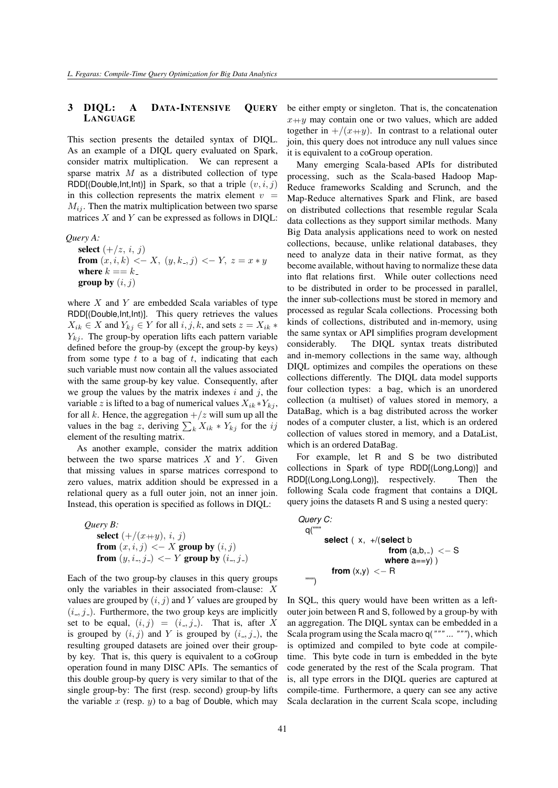# <span id="page-6-0"></span>3 DIQL: A DATA-INTENSIVE QUERY LANGUAGE

This section presents the detailed syntax of DIQL. As an example of a DIQL query evaluated on Spark, consider matrix multiplication. We can represent a sparse matrix  $M$  as a distributed collection of type RDD[(Double,Int,Int)] in Spark, so that a triple  $(v, i, j)$ in this collection represents the matrix element  $v =$  $M_{ij}$ . Then the matrix multiplication between two sparse matrices  $X$  and  $Y$  can be expressed as follows in DIQL:

*Query A:*

select  $(+/z, i, j)$ from  $(x, i, k) \leq X$ ,  $(y, k_-, j) \leq Y$ ,  $z = x * y$ where  $k == k$ . **group by**  $(i, j)$ 

where  $X$  and  $Y$  are embedded Scala variables of type RDD[(Double, Int, Int)]. This query retrieves the values  $X_{ik} \in X$  and  $Y_{kj} \in Y$  for all  $i, j, k$ , and sets  $z = X_{ik} *$  $Y_{kj}$ . The group-by operation lifts each pattern variable defined before the group-by (except the group-by keys) from some type  $t$  to a bag of  $t$ , indicating that each such variable must now contain all the values associated with the same group-by key value. Consequently, after we group the values by the matrix indexes  $i$  and  $j$ , the variable z is lifted to a bag of numerical values  $X_{ik} * Y_{ki}$ , for all  $k$ . Hence, the aggregation  $+/z$  will sum up all the values in the bag z, deriving  $\sum_k X_{ik} * Y_{kj}$  for the ij element of the resulting matrix.

As another example, consider the matrix addition between the two sparse matrices  $X$  and  $Y$ . Given that missing values in sparse matrices correspond to zero values, matrix addition should be expressed in a relational query as a full outer join, not an inner join. Instead, this operation is specified as follows in DIQL:

Query B:

\nselect 
$$
(+/(x+y), i, j)
$$

\nfrom  $(x, i, j) <-X$  group by  $(i, j)$ 

\nfrom  $(y, i_-, j_-) <-Y$  group by  $(i_-, j_-)$ 

Each of the two group-by clauses in this query groups only the variables in their associated from-clause: X values are grouped by  $(i, j)$  and Y values are grouped by  $(i_-, i_-)$ . Furthermore, the two group keys are implicitly set to be equal,  $(i, j) = (i_-, j_-)$ . That is, after X is grouped by  $(i, j)$  and Y is grouped by  $(i_-, j_-)$ , the resulting grouped datasets are joined over their groupby key. That is, this query is equivalent to a coGroup operation found in many DISC APIs. The semantics of this double group-by query is very similar to that of the single group-by: The first (resp. second) group-by lifts the variable  $x$  (resp.  $y$ ) to a bag of Double, which may

be either empty or singleton. That is, the concatenation  $x+y$  may contain one or two values, which are added together in  $\pm/(x+y)$ . In contrast to a relational outer join, this query does not introduce any null values since it is equivalent to a coGroup operation.

Many emerging Scala-based APIs for distributed processing, such as the Scala-based Hadoop Map-Reduce frameworks Scalding and Scrunch, and the Map-Reduce alternatives Spark and Flink, are based on distributed collections that resemble regular Scala data collections as they support similar methods. Many Big Data analysis applications need to work on nested collections, because, unlike relational databases, they need to analyze data in their native format, as they become available, without having to normalize these data into flat relations first. While outer collections need to be distributed in order to be processed in parallel, the inner sub-collections must be stored in memory and processed as regular Scala collections. Processing both kinds of collections, distributed and in-memory, using the same syntax or API simplifies program development considerably. The DIQL syntax treats distributed and in-memory collections in the same way, although DIQL optimizes and compiles the operations on these collections differently. The DIQL data model supports four collection types: a bag, which is an unordered collection (a multiset) of values stored in memory, a DataBag, which is a bag distributed across the worker nodes of a computer cluster, a list, which is an ordered collection of values stored in memory, and a DataList, which is an ordered DataBag.

For example, let R and S be two distributed collections in Spark of type RDD[(Long,Long)] and RDD[(Long,Long,Long)], respectively. Then the following Scala code fragment that contains a DIQL query joins the datasets R and S using a nested query:

*Query C:* q(""" **select** ( x, +/(**select** b **from** (a,b, ) <− S **where** a==y) ) **from** (x,y) <− R """)

In SQL, this query would have been written as a leftouter join between R and S, followed by a group-by with an aggregation. The DIQL syntax can be embedded in a Scala program using the Scala macro q("""... """), which is optimized and compiled to byte code at compiletime. This byte code in turn is embedded in the byte code generated by the rest of the Scala program. That is, all type errors in the DIQL queries are captured at compile-time. Furthermore, a query can see any active Scala declaration in the current Scala scope, including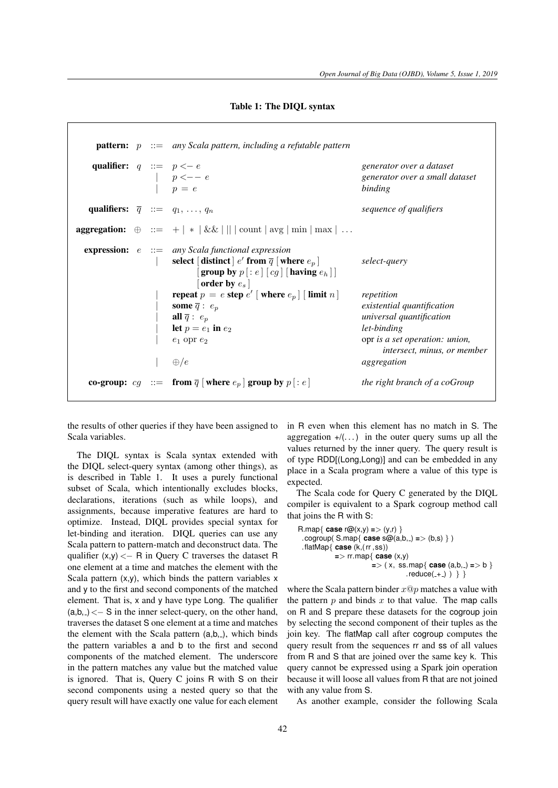<span id="page-7-0"></span>

|                              |  | <b>pattern:</b> $p ::= any Scala pattern, including a refutable pattern$                                                                                                                                                    |                                                                       |
|------------------------------|--|-----------------------------------------------------------------------------------------------------------------------------------------------------------------------------------------------------------------------------|-----------------------------------------------------------------------|
| qualifier: $q ::= p \leq -e$ |  | $\begin{array}{c} \mid & p < - - e \\ \mid & p = e \end{array}$                                                                                                                                                             | generator over a dataset<br>generator over a small dataset<br>binding |
|                              |  | <b>qualifiers:</b> $\overline{q}$ ::= $q_1, \ldots, q_n$                                                                                                                                                                    | sequence of qualifiers                                                |
|                              |  | <b>aggregation:</b> $\oplus$ ::= +   *   &&        count   avg   min   max                                                                                                                                                  |                                                                       |
|                              |  | <b>expression:</b> $e ::= any Scala functional expression$<br><b>select</b> [distinct] $e'$ from $\overline{q}$ [where $e_p$ ] <i>select-query</i><br>[group by $p$ [: $e$ ] [ $cg$ ] [having $e_h$ ]]<br>[order by $e_s$ ] |                                                                       |
|                              |  | repeat $p = e$ step $e'$ [ where $e_p$ ] [ limit $n$ ]<br>some $\overline{q}$ : $e_p$<br>all $\overline{q}$ : $e_p$                                                                                                         | repetition<br>existential quantification<br>universal quantification  |
|                              |  | let $p = e_1$ in $e_2$<br>$e_1$ opr $e_2$                                                                                                                                                                                   | let-binding<br>opr is a set operation: union,                         |
|                              |  | $\oplus/e$                                                                                                                                                                                                                  | intersect, minus, or member<br>aggregation                            |
|                              |  | co-group: $cg$ ::= from $\overline{q}$ where $e_p$ group by $p$ : e                                                                                                                                                         | the right branch of a coGroup                                         |

Table 1: The DIQL syntax

the results of other queries if they have been assigned to Scala variables.

The DIQL syntax is Scala syntax extended with the DIQL select-query syntax (among other things), as is described in Table [1.](#page-7-0) It uses a purely functional subset of Scala, which intentionally excludes blocks, declarations, iterations (such as while loops), and assignments, because imperative features are hard to optimize. Instead, DIQL provides special syntax for let-binding and iteration. DIQL queries can use any Scala pattern to pattern-match and deconstruct data. The qualifier  $(x,y) \leq -R$  in Query C traverses the dataset R one element at a time and matches the element with the Scala pattern  $(x,y)$ , which binds the pattern variables x and y to the first and second components of the matched element. That is, x and y have type Long. The qualifier  $(a,b,-) \leq -S$  in the inner select-query, on the other hand, traverses the dataset S one element at a time and matches the element with the Scala pattern  $(a,b,.)$ , which binds the pattern variables a and b to the first and second components of the matched element. The underscore in the pattern matches any value but the matched value is ignored. That is, Query C joins R with S on their second components using a nested query so that the query result will have exactly one value for each element in R even when this element has no match in S. The aggregation  $+$ /(...) in the outer query sums up all the values returned by the inner query. The query result is of type RDD[(Long,Long)] and can be embedded in any place in a Scala program where a value of this type is expected.

The Scala code for Query C generated by the DIQL compiler is equivalent to a Spark cogroup method call that joins the R with S:

$$
\begin{aligned} \text{R}.\text{map} \{ \text{ case } r \textcircled{x}(x,y) => \langle y,r \rangle \} \\ \text{.cogroup( S.map \{ \text{ case } s \textcircled{x}(a,b,.) => (b,s) \} ) \\ \text{.flatMap\{ \text{ case } (k,(rr,ss))$} \\ => rr.\text{map} \{ \text{ case } (x,y) \\ => (x, \text{ s.s.map} \{ \text{ case } (a,b,.) => b \} \\ \text{.reduce(.-+)} ) \} \} \end{aligned}
$$

where the Scala pattern binder  $x@p$  matches a value with the pattern  $p$  and binds  $x$  to that value. The map calls on R and S prepare these datasets for the cogroup join by selecting the second component of their tuples as the join key. The flatMap call after cogroup computes the query result from the sequences rr and ss of all values from R and S that are joined over the same key k. This query cannot be expressed using a Spark join operation because it will loose all values from R that are not joined with any value from S.

As another example, consider the following Scala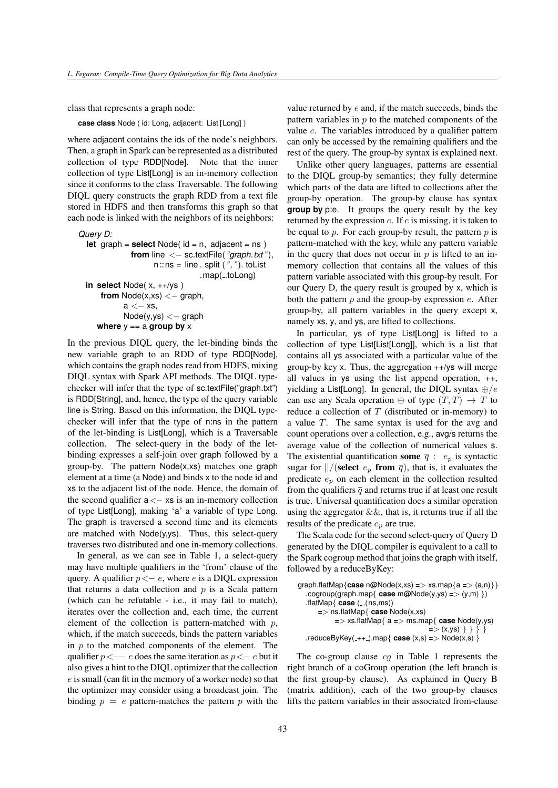class that represents a graph node:

**case class** Node ( id: Long, adjacent: List [Long] )

where adjacent contains the ids of the node's neighbors. Then, a graph in Spark can be represented as a distributed collection of type RDD[Node]. Note that the inner collection of type List[Long] is an in-memory collection since it conforms to the class Traversable. The following DIQL query constructs the graph RDD from a text file stored in HDFS and then transforms this graph so that each node is linked with the neighbors of its neighbors:

```
Query D:
```

```
let graph = select Node(id = n, adjacent = ns)
            from line <− sc.textFile("graph.txt " ),
                  n::ns = line : split ( " , " ). to List
                               .map(\_ .toLong)
in select Node( x, ++/ys )
   from Node(x, xs) < - graph,
          a < -xs.
          Node(y,ys) < - graph
  where y == a group by x
```
In the previous DIQL query, the let-binding binds the new variable graph to an RDD of type RDD[Node], which contains the graph nodes read from HDFS, mixing DIQL syntax with Spark API methods. The DIQL typechecker will infer that the type of sc.textFile("graph.txt") is RDD[String], and, hence, the type of the query variable line is String. Based on this information, the DIQL typechecker will infer that the type of n:ns in the pattern of the let-binding is List[Long], which is a Traversable collection. The select-query in the body of the letbinding expresses a self-join over graph followed by a group-by. The pattern Node(x,xs) matches one graph element at a time (a Node) and binds x to the node id and xs to the adjacent list of the node. Hence, the domain of the second qualifier  $a \leftarrow xs$  is an in-memory collection of type List[Long], making 'a' a variable of type Long. The graph is traversed a second time and its elements are matched with  $Node(y,ys)$ . Thus, this select-query traverses two distributed and one in-memory collections.

In general, as we can see in Table [1,](#page-7-0) a select-query may have multiple qualifiers in the 'from' clause of the query. A qualifier  $p \leq -e$ , where e is a DIQL expression that returns a data collection and  $p$  is a Scala pattern (which can be refutable - i.e., it may fail to match), iterates over the collection and, each time, the current element of the collection is pattern-matched with  $p$ , which, if the match succeeds, binds the pattern variables in  $p$  to the matched components of the element. The qualifier  $p \leq -e$  does the same iteration as  $p \leq -e$  but it also gives a hint to the DIQL optimizer that the collection e is small (can fit in the memory of a worker node) so that the optimizer may consider using a broadcast join. The binding  $p = e$  pattern-matches the pattern p with the value returned by  $e$  and, if the match succeeds, binds the pattern variables in  $p$  to the matched components of the value e. The variables introduced by a qualifier pattern can only be accessed by the remaining qualifiers and the rest of the query. The group-by syntax is explained next.

Unlike other query languages, patterns are essential to the DIQL group-by semantics; they fully determine which parts of the data are lifted to collections after the group-by operation. The group-by clause has syntax **group by** p:e. It groups the query result by the key returned by the expression e. If e is missing, it is taken to be equal to  $p$ . For each group-by result, the pattern  $p$  is pattern-matched with the key, while any pattern variable in the query that does not occur in  $p$  is lifted to an inmemory collection that contains all the values of this pattern variable associated with this group-by result. For our Query D, the query result is grouped by x, which is both the pattern  $p$  and the group-by expression  $e$ . After group-by, all pattern variables in the query except x, namely xs, y, and ys, are lifted to collections.

In particular, ys of type List[Long] is lifted to a collection of type List[List[Long]], which is a list that contains all ys associated with a particular value of the group-by key x. Thus, the aggregation ++/ys will merge all values in ys using the list append operation, ++, yielding a List[Long]. In general, the DIQL syntax  $\bigoplus/e$ can use any Scala operation  $\oplus$  of type  $(T, T) \rightarrow T$  to reduce a collection of  $T$  (distributed or in-memory) to a value T. The same syntax is used for the avg and count operations over a collection, e.g., avg/s returns the average value of the collection of numerical values s. The existential quantification some  $\overline{q}$  :  $e_p$  is syntactic sugar for  $||/$ (select  $e_p$  from  $\overline{q}$ ), that is, it evaluates the predicate  $e_p$  on each element in the collection resulted from the qualifiers  $\overline{q}$  and returns true if at least one result is true. Universal quantification does a similar operation using the aggregator  $&&\&&&\,,$  that is, it returns true if all the results of the predicate  $e_p$  are true.

The Scala code for the second select-query of Query D generated by the DIQL compiler is equivalent to a call to the Spark cogroup method that joins the graph with itself, followed by a reduceByKey:

```
graph.flatMap{case n@Node(x,xs) => xs.map{a => (a,n)}}
  .cogroup(graph.map{ case m@Node(y,ys) => (y,m) })
  .flatMap\{ \text{ case } (\_, \text{(ns,ms)}) \}=> ns.flatMap{ case Node(x,xs)
           => xs.flatMap{ a => ms.map{ case Node(y,ys)
                                       => (x,ys) } } } }
  . reduceByKey(_{++}).map{ case (x,s) = > Node(x,s) \}
```
The co-group clause cg in Table [1](#page-7-0) represents the right branch of a coGroup operation (the left branch is the first group-by clause). As explained in Query B (matrix addition), each of the two group-by clauses lifts the pattern variables in their associated from-clause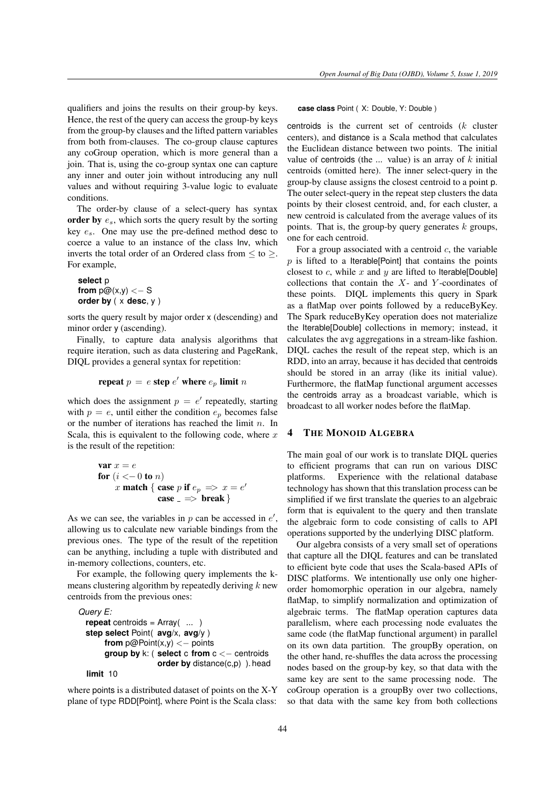qualifiers and joins the results on their group-by keys. Hence, the rest of the query can access the group-by keys from the group-by clauses and the lifted pattern variables from both from-clauses. The co-group clause captures any coGroup operation, which is more general than a join. That is, using the co-group syntax one can capture any inner and outer join without introducing any null values and without requiring 3-value logic to evaluate conditions.

The order-by clause of a select-query has syntax order by  $e_s$ , which sorts the query result by the sorting key  $e_s$ . One may use the pre-defined method desc to coerce a value to an instance of the class Inv, which inverts the total order of an Ordered class from  $\leq$  to  $\geq$ . For example,

```
select p
from p@(x,y) < -Sorder by ( x desc, y )
```
sorts the query result by major order x (descending) and minor order y (ascending).

Finally, to capture data analysis algorithms that require iteration, such as data clustering and PageRank, DIQL provides a general syntax for repetition:

# repeat  $p = e$  step  $e'$  where  $e_p$  limit  $n$

which does the assignment  $p = e'$  repeatedly, starting with  $p = e$ , until either the condition  $e_p$  becomes false or the number of iterations has reached the limit  $n$ . In Scala, this is equivalent to the following code, where  $x$ is the result of the repetition:

var 
$$
x = e
$$

\nfor  $(i < -0 \text{ to } n)$ 

\n $x \text{ match } \{ \text{ case } p \text{ if } e_p \implies x = e'$ 

\ncase  $-\implies \text{break} \}$ 

As we can see, the variables in  $p$  can be accessed in  $e'$ , allowing us to calculate new variable bindings from the previous ones. The type of the result of the repetition can be anything, including a tuple with distributed and in-memory collections, counters, etc.

For example, the following query implements the kmeans clustering algorithm by repeatedly deriving  $k$  new centroids from the previous ones:

```
Query E:
  repeat centroids = Array( ... )
  step select Point( avg/x, avg/y )
      from p@Point(x,y) < - points
      group by k: ( select c from c <− centroids
                    order by distance(c,p) ). head
  limit 10
```
where points is a distributed dataset of points on the X-Y plane of type RDD[Point], where Point is the Scala class:

**case class** Point ( X: Double, Y: Double )

centroids is the current set of centroids (k cluster centers), and distance is a Scala method that calculates the Euclidean distance between two points. The initial value of centroids (the  $\dots$  value) is an array of k initial centroids (omitted here). The inner select-query in the group-by clause assigns the closest centroid to a point p. The outer select-query in the repeat step clusters the data points by their closest centroid, and, for each cluster, a new centroid is calculated from the average values of its points. That is, the group-by query generates  $k$  groups, one for each centroid.

For a group associated with a centroid  $c$ , the variable  $p$  is lifted to a Iterable[Point] that contains the points closest to c, while x and y are lifted to Iterable[Double] collections that contain the  $X$ - and  $Y$ -coordinates of these points. DIQL implements this query in Spark as a flatMap over points followed by a reduceByKey. The Spark reduceByKey operation does not materialize the Iterable[Double] collections in memory; instead, it calculates the avg aggregations in a stream-like fashion. DIQL caches the result of the repeat step, which is an RDD, into an array, because it has decided that centroids should be stored in an array (like its initial value). Furthermore, the flatMap functional argument accesses the centroids array as a broadcast variable, which is broadcast to all worker nodes before the flatMap.

#### <span id="page-9-0"></span>4 THE MONOID ALGEBRA

The main goal of our work is to translate DIQL queries to efficient programs that can run on various DISC platforms. Experience with the relational database technology has shown that this translation process can be simplified if we first translate the queries to an algebraic form that is equivalent to the query and then translate the algebraic form to code consisting of calls to API operations supported by the underlying DISC platform.

Our algebra consists of a very small set of operations that capture all the DIQL features and can be translated to efficient byte code that uses the Scala-based APIs of DISC platforms. We intentionally use only one higherorder homomorphic operation in our algebra, namely flatMap, to simplify normalization and optimization of algebraic terms. The flatMap operation captures data parallelism, where each processing node evaluates the same code (the flatMap functional argument) in parallel on its own data partition. The groupBy operation, on the other hand, re-shuffles the data across the processing nodes based on the group-by key, so that data with the same key are sent to the same processing node. The coGroup operation is a groupBy over two collections, so that data with the same key from both collections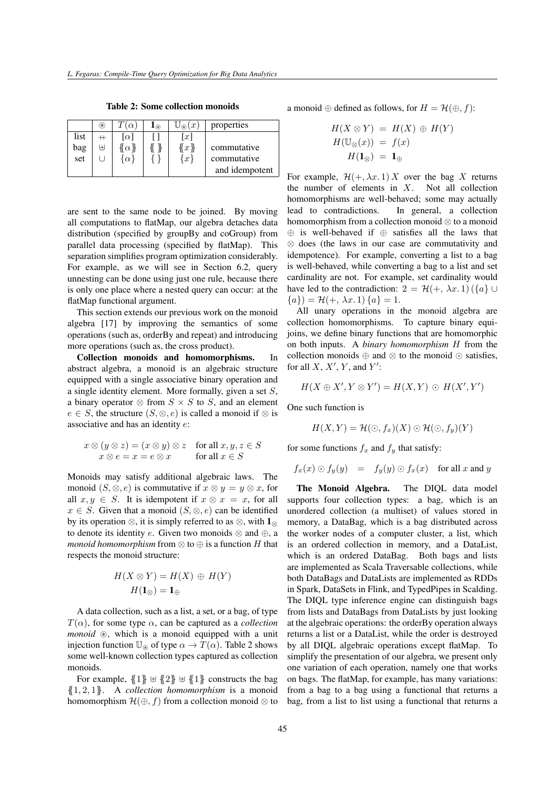Table 2: Some collection monoids

<span id="page-10-0"></span>

|      | ⊛            | $\alpha$                 | $\mathbf{1}_{\scriptscriptstyle (\mathbb{R})}$ | (x <sup>2</sup> )<br>$(\mathbb{R})$ | properties     |
|------|--------------|--------------------------|------------------------------------------------|-------------------------------------|----------------|
| list |              | [ $\alpha$ ]             |                                                | $\lceil x \rceil$                   |                |
| bag  | $\downarrow$ | $\{\!\!\{\alpha\}\!\!\}$ |                                                | $\{x\}$                             | commutative    |
| set  |              | $\alpha$                 |                                                | $\{x\}$                             | commutative    |
|      |              |                          |                                                |                                     | and idempotent |

are sent to the same node to be joined. By moving all computations to flatMap, our algebra detaches data distribution (specified by groupBy and coGroup) from parallel data processing (specified by flatMap). This separation simplifies program optimization considerably. For example, as we will see in Section [6.2,](#page-14-1) query unnesting can be done using just one rule, because there is only one place where a nested query can occur: at the flatMap functional argument.

This section extends our previous work on the monoid algebra [\[17\]](#page-24-12) by improving the semantics of some operations (such as, orderBy and repeat) and introducing more operations (such as, the cross product).

Collection monoids and homomorphisms. In abstract algebra, a monoid is an algebraic structure equipped with a single associative binary operation and a single identity element. More formally, given a set S, a binary operator  $\otimes$  from  $S \times S$  to S, and an element  $e \in S$ , the structure  $(S, \otimes, e)$  is called a monoid if  $\otimes$  is associative and has an identity e:

$$
x \otimes (y \otimes z) = (x \otimes y) \otimes z \quad \text{for all } x, y, z \in S
$$

$$
x \otimes e = x = e \otimes x \quad \text{for all } x \in S
$$

Monoids may satisfy additional algebraic laws. The monoid  $(S, \otimes, e)$  is commutative if  $x \otimes y = y \otimes x$ , for all  $x, y \in S$ . It is idempotent if  $x \otimes x = x$ , for all  $x \in S$ . Given that a monoid  $(S, \otimes, e)$  can be identified by its operation  $\otimes$ , it is simply referred to as  $\otimes$ , with  $\mathbf{1}_{\otimes}$ to denote its identity  $e$ . Given two monoids  $\otimes$  and  $\oplus$ , a *monoid homomorphism* from  $\otimes$  to  $\oplus$  is a function H that respects the monoid structure:

$$
H(X \otimes Y) = H(X) \oplus H(Y)
$$
  

$$
H(\mathbf{1}_{\otimes}) = \mathbf{1}_{\oplus}
$$

A data collection, such as a list, a set, or a bag, of type  $T(\alpha)$ , for some type  $\alpha$ , can be captured as a *collection monoid*  $\otimes$ , which is a monoid equipped with a unit injection function  $\mathbb{U}_{\mathfrak{D}}$  of type  $\alpha \to T(\alpha)$ . Table [2](#page-10-0) shows some well-known collection types captured as collection monoids.

For example,  $\{1\} \cup \{2\} \cup \{1\}$  constructs the bag {{1, 2, 1}}. A *collection homomorphism* is a monoid homomorphism  $\mathcal{H}(\oplus, f)$  from a collection monoid ⊗ to a monoid  $\oplus$  defined as follows, for  $H = \mathcal{H}(\oplus, f)$ :

$$
H(X \otimes Y) = H(X) \oplus H(Y)
$$
  

$$
H(\mathbb{U}_{\otimes}(x)) = f(x)
$$
  

$$
H(\mathbf{1}_{\otimes}) = \mathbf{1}_{\oplus}
$$

For example,  $\mathcal{H}(+,\lambda x. 1) X$  over the bag X returns the number of elements in  $X$ . Not all collection homomorphisms are well-behaved; some may actually lead to contradictions. In general, a collection homomorphism from a collection monoid ⊗ to a monoid ⊕ is well-behaved if ⊕ satisfies all the laws that ⊗ does (the laws in our case are commutativity and idempotence). For example, converting a list to a bag is well-behaved, while converting a bag to a list and set cardinality are not. For example, set cardinality would have led to the contradiction:  $2 = \mathcal{H}(+,\lambda x. 1)$  ( $\{a\} \cup$  ${a}$ ) =  $H(+, \lambda x. 1)$  {a} = 1.

All unary operations in the monoid algebra are collection homomorphisms. To capture binary equijoins, we define binary functions that are homomorphic on both inputs. A *binary homomorphism* H from the collection monoids  $\oplus$  and  $\otimes$  to the monoid  $\odot$  satisfies, for all  $X, X', Y$ , and  $Y'$ :

$$
H(X \oplus X', Y \otimes Y') = H(X, Y) \odot H(X', Y')
$$

One such function is

$$
H(X,Y) = \mathcal{H}(\bigcirc, f_x)(X) \bigcirc \mathcal{H}(\bigcirc, f_y)(Y)
$$

for some functions  $f_x$  and  $f_y$  that satisfy:

$$
f_x(x) \odot f_y(y) = f_y(y) \odot f_x(x) \text{ for all } x \text{ and } y
$$

The Monoid Algebra. The DIQL data model supports four collection types: a bag, which is an unordered collection (a multiset) of values stored in memory, a DataBag, which is a bag distributed across the worker nodes of a computer cluster, a list, which is an ordered collection in memory, and a DataList, which is an ordered DataBag. Both bags and lists are implemented as Scala Traversable collections, while both DataBags and DataLists are implemented as RDDs in Spark, DataSets in Flink, and TypedPipes in Scalding. The DIQL type inference engine can distinguish bags from lists and DataBags from DataLists by just looking at the algebraic operations: the orderBy operation always returns a list or a DataList, while the order is destroyed by all DIQL algebraic operations except flatMap. To simplify the presentation of our algebra, we present only one variation of each operation, namely one that works on bags. The flatMap, for example, has many variations: from a bag to a bag using a functional that returns a bag, from a list to list using a functional that returns a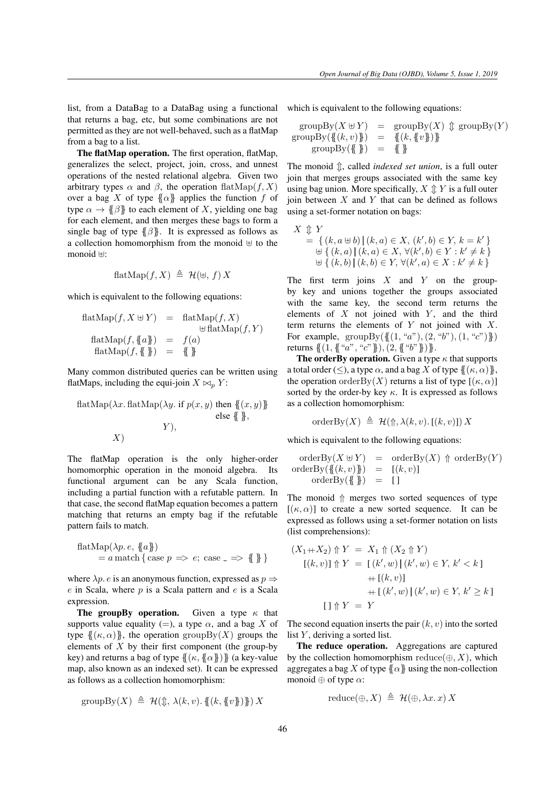list, from a DataBag to a DataBag using a functional that returns a bag, etc, but some combinations are not permitted as they are not well-behaved, such as a flatMap from a bag to a list.

The flatMap operation. The first operation, flatMap, generalizes the select, project, join, cross, and unnest operations of the nested relational algebra. Given two arbitrary types  $\alpha$  and  $\beta$ , the operation flatMap(f, X) over a bag X of type  $\{\{\alpha\}\}\$ applies the function f of type  $\alpha \to \{\beta\}$  to each element of X, yielding one bag for each element, and then merges these bags to form a single bag of type  $\{\beta\}$ . It is expressed as follows as a collection homomorphism from the monoid  $\oplus$  to the monoid  $H$ :

$$
flatMap(f, X) \triangleq \mathcal{H}(\uplus, f) X
$$

which is equivalent to the following equations:

$$
flatMap(f, X \oplus Y) = flatMap(f, X)
$$
  
\n
$$
flatMap(f, \{a\}) = f(a)
$$
  
\n
$$
flatMap(f, \{ \}\}) = \{ \}
$$

Many common distributed queries can be written using flatMaps, including the equi-join  $X \bowtie_p Y$ :

$$
\begin{aligned} \text{flatMap}(\lambda x. \text{flatMap}(\lambda y. \text{ if } p(x, y) \text{ then } \{ (x, y) \} \\ \text{else } \{ \} \}, \\ Y), \\ X) \end{aligned}
$$

The flatMap operation is the only higher-order homomorphic operation in the monoid algebra. Its functional argument can be any Scala function, including a partial function with a refutable pattern. In that case, the second flatMap equation becomes a pattern matching that returns an empty bag if the refutable pattern fails to match.

$$
\begin{aligned} \text{flatMap}(\lambda p. e, \{a\}) \\ &= a \text{ match } \{\text{case } p \implies e; \text{ case } \_ \implies \{ \} \} \end{aligned}
$$

where  $\lambda p$ . *e* is an anonymous function, expressed as  $p \Rightarrow$  $e$  in Scala, where  $p$  is a Scala pattern and  $e$  is a Scala expression.

The groupBy operation. Given a type  $\kappa$  that supports value equality (=), a type  $\alpha$ , and a bag X of type  $\{(\kappa, \alpha)\}\$ , the operation groupBy $(X)$  groups the elements of  $X$  by their first component (the group-by key) and returns a bag of type  $\{(\kappa, \{\alpha\})\}$  (a key-value map, also known as an indexed set). It can be expressed as follows as a collection homomorphism:

$$
groupBy(X) \triangleq \mathcal{H}(\mathcal{D}, \lambda(k, v), \mathcal{H}(k, \{v\})\}) X
$$

which is equivalent to the following equations:

$$
\begin{array}{rcl}\n\text{groupBy}(X \oplus Y) & = & \text{groupBy}(X) \updownarrow \text{groupBy}(Y) \\
\text{groupBy}(\{(k, v)\}) & = & \{(k, \{v\})\}\n\end{array}
$$

The monoid  $\hat{\psi}$ , called *indexed set union*, is a full outer join that merges groups associated with the same key using bag union. More specifically,  $X \nsubseteq Y$  is a full outer join between  $X$  and  $Y$  that can be defined as follows using a set-former notation on bags:

$$
X \noplus Y
$$
  
= { (k, a \oplus b) | (k, a) \in X, (k', b) \in Y, k = k' }  

$$
\uplus { (k, a) | (k, a) \in X, \forall (k', b) \in Y : k' \neq k }
$$
  

$$
\uplus { (k, b) | (k, b) \in Y, \forall (k', a) \in X : k' \neq k }
$$

The first term joins  $X$  and  $Y$  on the groupby key and unions together the groups associated with the same key, the second term returns the elements of  $X$  not joined with  $Y$ , and the third term returns the elements of  $Y$  not joined with  $X$ . For example,  $groupBy({{(1, "a", (2, "b", (1, "c",))})})$ returns  $\{(1, \{``a", ``c"\}\}, (2, \{``b"\}\})$ .

**The orderBy operation.** Given a type  $\kappa$  that supports a total order (<), a type  $\alpha$ , and a bag X of type  $\{\{(\kappa, \alpha)\}\}\,$ , the operation orderBy(X) returns a list of type  $[(\kappa, \alpha)]$ sorted by the order-by key  $\kappa$ . It is expressed as follows as a collection homomorphism:

orderBy
$$
(X) \triangleq \mathcal{H}(\Uparrow, \lambda(k, v), [(k, v)]) X
$$

which is equivalent to the following equations:

$$
\begin{array}{rcl}\n\text{orderBy}(X \oplus Y) & = & \text{orderBy}(X) \uparrow \text{orderBy}(Y) \\
\text{orderBy}(\{(k, v)\}) & = & [(k, v)] \\
\text{orderBy}(\{\n \}\}) & = & [ ]\n\end{array}
$$

The monoid  $\Uparrow$  merges two sorted sequences of type  $[(\kappa, \alpha)]$  to create a new sorted sequence. It can be expressed as follows using a set-former notation on lists (list comprehensions):

$$
(X_1 + X_2) \Uparrow Y = X_1 \Uparrow (X_2 \Uparrow Y)
$$
  
\n
$$
[(k, v)] \Uparrow Y = [(k', w)] (k', w) \in Y, k' < k]
$$
  
\n
$$
+ [(k, v)]
$$
  
\n
$$
+ [(k', w)] (k', w) \in Y, k' \ge k]
$$
  
\n
$$
\{\mid \Uparrow Y = Y
$$

The second equation inserts the pair  $(k, v)$  into the sorted list  $Y$ , deriving a sorted list.

The reduce operation. Aggregations are captured by the collection homomorphism  $reduce(\oplus, X)$ , which aggregates a bag X of type  $\{\alpha\}$  using the non-collection monoid  $\oplus$  of type  $\alpha$ :

$$
reduce(\oplus, X) \triangleq \mathcal{H}(\oplus, \lambda x. x) X
$$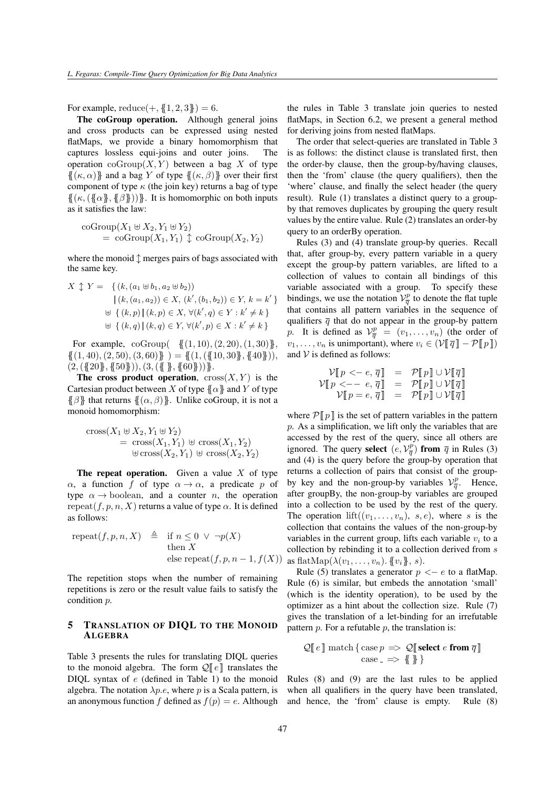For example,  $reduce(+, \{1, 2, 3\}) = 6.$ 

The coGroup operation. Although general joins and cross products can be expressed using nested flatMaps, we provide a binary homomorphism that captures lossless equi-joins and outer joins. The operation  $\operatorname{coGroup}(X,Y)$  between a bag X of type  $\{(\kappa, \alpha)\}\$  and a bag Y of type  $\{(\kappa, \beta)\}\$  over their first component of type  $\kappa$  (the join key) returns a bag of type  $\{(\kappa, (\{\alpha\}, \{\beta\}))\}$ . It is homomorphic on both inputs as it satisfies the law:

 $\mathrm{coGroup}(X_1 \boxplus X_2, Y_1 \boxplus Y_2)$  $=$  coGroup $(X_1, Y_1)$   $\uparrow$  coGroup $(X_2, Y_2)$ 

where the monoid  $\uparrow$  merges pairs of bags associated with the same key.

$$
X \uparrow Y = \{ (k, (a_1 \uplus b_1, a_2 \uplus b_2))
$$
  
\n
$$
| (k, (a_1, a_2)) \in X, (k', (b_1, b_2)) \in Y, k = k' \}
$$
  
\n
$$
\uplus \{ (k, p) | (k, p) \in X, \forall (k', q) \in Y : k' \neq k \}
$$
  
\n
$$
\uplus \{ (k, q) | (k, q) \in Y, \forall (k', p) \in X : k' \neq k \}
$$

For example,  $coGroup({\{1, 10\}, (2, 20), (1, 30)}$ ,  $\{(1, 40), (2, 50), (3, 60)\}\$  =  $\{(1, (\{10, 30\}, \{40\})),$  $(2,({120},,{150})), (3,({18},,{160}))\}.$ 

The cross product operation,  $\text{cross}(X, Y)$  is the Cartesian product between X of type  $\{\alpha\}$  and Y of type  $\{\!\{\beta\}\!\}$  that returns  $\{\!\{\alpha,\beta\}\!\}$ . Unlike coGroup, it is not a monoid homomorphism:

$$
\begin{aligned} \text{cross}(X_1 \boxplus X_2, Y_1 \boxplus Y_2) \\ &= \text{cross}(X_1, Y_1) \boxplus \text{cross}(X_1, Y_2) \\ &\qquad \boxplus \text{cross}(X_2, Y_1) \boxplus \text{cross}(X_2, Y_2) \end{aligned}
$$

The repeat operation. Given a value  $X$  of type  $\alpha$ , a function f of type  $\alpha \rightarrow \alpha$ , a predicate p of type  $\alpha \rightarrow$  boolean, and a counter *n*, the operation repeat(f, p, n, X) returns a value of type  $\alpha$ . It is defined as follows:

$$
\begin{array}{rcl}\n\text{repeat}(f, p, n, X) & \triangleq & \text{if } n \leq 0 \ \lor \ \neg p(X) \\
& \text{then } X \\
& \text{else } \text{repeat}(f, p, n-1, f(X))\n\end{array}
$$

The repetition stops when the number of remaining repetitions is zero or the result value fails to satisfy the condition p.

#### <span id="page-12-0"></span>5 TRANSLATION OF DIQL TO THE MONOID ALGEBRA

Table [3](#page-13-0) presents the rules for translating DIQL queries to the monoid algebra. The form  $\mathcal{Q} [e]$  translates the DIQL syntax of e (defined in Table [1\)](#page-7-0) to the monoid algebra. The notation  $\lambda p.e$ , where p is a Scala pattern, is an anonymous function f defined as  $f(p) = e$ . Although the rules in Table [3](#page-13-0) translate join queries to nested flatMaps, in Section [6.2,](#page-14-1) we present a general method for deriving joins from nested flatMaps.

The order that select-queries are translated in Table [3](#page-13-0) is as follows: the distinct clause is translated first, then the order-by clause, then the group-by/having clauses, then the 'from' clause (the query qualifiers), then the 'where' clause, and finally the select header (the query result). Rule [\(1\)](#page-13-1) translates a distinct query to a groupby that removes duplicates by grouping the query result values by the entire value. Rule [\(2\)](#page-13-1) translates an order-by query to an orderBy operation.

Rules [\(3\)](#page-13-1) and [\(4\)](#page-13-1) translate group-by queries. Recall that, after group-by, every pattern variable in a query except the group-by pattern variables, are lifted to a collection of values to contain all bindings of this variable associated with a group. To specify these bindings, we use the notation  $\mathcal{V}_{\overline{q}}^p$  to denote the flat tuple that contains all pattern variables in the sequence of qualifiers  $\overline{q}$  that do not appear in the group-by pattern p. It is defined as  $V_{\overline{q}}^p = (v_1, \ldots, v_n)$  (the order of  $v_1, \ldots, v_n$  is unimportant), where  $v_i \in (\mathcal{V} \cdot \overline{q} \cdot \overline{q} - \mathcal{P} \cdot \overline{q} \cdot \overline{q})$ and  $V$  is defined as follows:

$$
\mathcal{V}[\![p \leq -e, \overline{q}]\!] = \mathcal{P}[\![p]\!] \cup \mathcal{V}[\![\overline{q}]\!]
$$
\n
$$
\mathcal{V}[\![p \leq -e, \overline{q}]\!] = \mathcal{P}[\![p]\!] \cup \mathcal{V}[\![\overline{q}]\!]
$$
\n
$$
\mathcal{V}[\![p = e, \overline{q}]\!] = \mathcal{P}[\![p]\!] \cup \mathcal{V}[\![\overline{q}]\!]
$$

where  $\mathcal{P} \llbracket p \rrbracket$  is the set of pattern variables in the pattern p. As a simplification, we lift only the variables that are accessed by the rest of the query, since all others are ignored. The query select  $(e, V_{\overline{q}}^p)$  from  $\overline{q}$  in Rules [\(3\)](#page-13-1) and [\(4\)](#page-13-1) is the query before the group-by operation that returns a collection of pairs that consist of the groupby key and the non-group-by variables  $V_{\overline{q}}^p$ . Hence, after groupBy, the non-group-by variables are grouped into a collection to be used by the rest of the query. The operation  $\text{lift}((v_1, \ldots, v_n), s, e)$ , where s is the collection that contains the values of the non-group-by variables in the current group, lifts each variable  $v_i$  to a collection by rebinding it to a collection derived from s as flatMap( $\lambda(v_1, \ldots, v_n)$ . {{ $v_i$ }}, s).

Rule [\(5\)](#page-13-1) translates a generator  $p \leq -e$  to a flatMap. Rule [\(6\)](#page-13-1) is similar, but embeds the annotation 'small' (which is the identity operation), to be used by the optimizer as a hint about the collection size. Rule [\(7\)](#page-13-1) gives the translation of a let-binding for an irrefutable pattern  $p$ . For a refutable  $p$ , the translation is:

$$
Q[\![e]\!] \text{ match } \{\text{case } p \implies Q[\![\text{ select } e \text{ from } \overline{q}]\!]
$$

$$
\text{case } \implies \{\!\!\{\}\!\!\}\}
$$

Rules [\(8\)](#page-13-1) and [\(9\)](#page-13-1) are the last rules to be applied when all qualifiers in the query have been translated, and hence, the 'from' clause is empty. Rule [\(8\)](#page-13-1)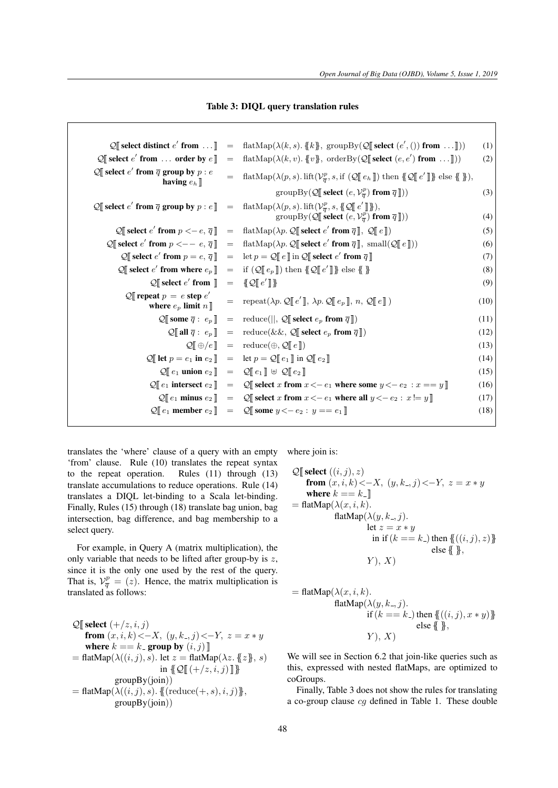# Table 3: DIQL query translation rules

<span id="page-13-1"></span><span id="page-13-0"></span>

|                                                                                 |  | $\mathcal{Q}$ select distinct e' from $\mathbb{I} = \text{flatMap}(\lambda(k, s) \cdot \{k\}, \text{groupBy}(\mathcal{Q} \mid \text{select } (e',()) \text{ from } \dots \mathbb{I}))$                                                                                                                                                             | (1)  |
|---------------------------------------------------------------------------------|--|----------------------------------------------------------------------------------------------------------------------------------------------------------------------------------------------------------------------------------------------------------------------------------------------------------------------------------------------------|------|
|                                                                                 |  | $\mathcal{Q}$ select e' from  order by $e \rVert = \text{flatMap}(\lambda(k, v), \{v\}, \text{orderBy}(\mathcal{Q} \rVert \text{select } (e, e') \text{ from } \dots \rVert))$                                                                                                                                                                     | (2)  |
| $Q$ ∥ select $e'$ from $\overline{q}$ group by $p : e$<br>having $e_h$          |  | = flatMap( $\lambda(p,s)$ . lift( $V_{\overline{q}}^p$ , s, if ( $\mathcal{Q}[\![e_h]\!]$ ) then $\{\![\mathcal{Q}[\![e']]\!] \}$ else $\{\! \} \})$ ,                                                                                                                                                                                             |      |
|                                                                                 |  | group By $(\mathcal{Q}[\![\text{select}(\mathscr{e},\mathcal{V}_{\overline{q}}^p)\text{ from }\overline{q}]\!])$                                                                                                                                                                                                                                   | (3)  |
|                                                                                 |  | $\mathcal{Q}[\![\text{select } e'\text{ from } \overline{q} \text{ group by } p : e]\!] = \text{flatMap}(\lambda(p, s) \cdot \text{lift}(\mathcal{V}_{\overline{q}}^p, s, \{\!\!\{\mathcal{Q}[\![\![\mathit{e}']\!]\!\!\}\})$<br>group By $(\mathcal{Q}[\![\] \text{select} \;(e, \mathcal{V}_{\overline{q}}^p) \text{ from } \overline{q}[\!]) )$ | (4)  |
|                                                                                 |  | $\mathcal{Q}$ select e' from $p \leq -e, \overline{q}$ = flatMap( $\lambda p$ . $\mathcal{Q}$ select e' from $\overline{q}$ ], $\mathcal{Q}$ e ])                                                                                                                                                                                                  | (5)  |
|                                                                                 |  | $\mathcal{Q}$ select e' from $p \leq -e, \bar{q}$ = flatMap( $\lambda p$ . $\mathcal{Q}$ select e' from $\bar{q}$ , small( $\mathcal{Q}$ e   ))                                                                                                                                                                                                    | (6)  |
|                                                                                 |  | $\mathcal{Q}$ select $e'$ from $p = e, \overline{q}$ = let $p = \mathcal{Q}$ $e \parallel$ in $\mathcal{Q}$ select $e'$ from $\overline{q}$ $\parallel$                                                                                                                                                                                            | (7)  |
|                                                                                 |  | $\mathcal{Q}$ select e' from where $e_p$ = if $(\mathcal{Q} \llbracket e_p \rrbracket)$ then $\{\!\!\{\mathcal{Q} \rrbracket e' \rrbracket\}\!\!\}$ else $\{\!\!\{\ \}\!\!\}$                                                                                                                                                                      | (8)  |
| $\mathcal{Q}$ select e' from $\mathcal{Q}$ = { $\mathcal{Q}$ e' $\mathcal{R}$ } |  |                                                                                                                                                                                                                                                                                                                                                    | (9)  |
| $\mathcal{Q}$ repeat $p = e$ step $e'$<br>where $e_p$ limit $n \parallel$       |  | $= \text{repeat}(\lambda p. \mathcal{Q} \llbracket e' \rrbracket, \lambda p. \mathcal{Q} \llbracket e_p \rrbracket, n, \mathcal{Q} \llbracket e \rrbracket)$                                                                                                                                                                                       | (10) |
|                                                                                 |  | $\mathcal{Q}$ some $\overline{q}$ : $e_p$ = reduce(  , $\mathcal{Q}$ select $e_p$ from $\overline{q}$ ))                                                                                                                                                                                                                                           | (11) |
|                                                                                 |  | $\mathcal{Q}[\![\mathbf{all}\; \overline{q} : e_p]\!] = \text{reduce}(\&\&\mathbf{, Q}[\![\mathbf{select}\; e_p\;\mathbf{from}\;\overline{q}]\!])$                                                                                                                                                                                                 | (12) |
|                                                                                 |  | $\mathcal{Q}[\![\oplus/e]\!] = \text{reduce}(\oplus, \mathcal{Q}[\![e]\!])$                                                                                                                                                                                                                                                                        | (13) |
|                                                                                 |  | $\mathcal{Q}$ let $p = e_1$ in $e_2$ $\parallel$ = let $p = \mathcal{Q} \parallel e_1 \parallel$ in $\mathcal{Q} \parallel e_2 \parallel$                                                                                                                                                                                                          | (14) |
|                                                                                 |  | $\mathcal{Q}[[e_1 \text{ union } e_2]] = \mathcal{Q}[[e_1]] \uplus \mathcal{Q}[[e_2]]$                                                                                                                                                                                                                                                             | (15) |
|                                                                                 |  | $\mathcal{Q}[\![e_1$ intersect e_2 \rrbracket = \mathcal{Q}[\!] select x from x \leq -e_1 where some y \leq -e_2 : x == y \rrbracket$                                                                                                                                                                                                              | (16) |
|                                                                                 |  | $\mathcal{Q}[\![e_1$ minus e_2]\!] = \mathcal{Q}[\![\] \text{select } x$ from x \lt -e_1 where all y \lt -e_2 : x \models y \rrbracket$                                                                                                                                                                                                            | (17) |
|                                                                                 |  | $\mathcal{Q} [e_1$ member $e_2] = \mathcal{Q} [$ some $y \leq -e_2 : y == e_1]$                                                                                                                                                                                                                                                                    | (18) |
|                                                                                 |  |                                                                                                                                                                                                                                                                                                                                                    |      |

translates the 'where' clause of a query with an empty 'from' clause. Rule [\(10\)](#page-13-1) translates the repeat syntax to the repeat operation. Rules [\(11\)](#page-13-1) through [\(13\)](#page-13-1) translate accumulations to reduce operations. Rule [\(14\)](#page-13-1) translates a DIQL let-binding to a Scala let-binding. Finally, Rules [\(15\)](#page-13-1) through [\(18\)](#page-13-1) translate bag union, bag intersection, bag difference, and bag membership to a select query.

For example, in Query A (matrix multiplication), the only variable that needs to be lifted after group-by is  $z$ , since it is the only one used by the rest of the query. That is,  $V_{\overline{q}}^p = (z)$ . Hence, the matrix multiplication is translated as follows:

$$
\begin{aligned} \mathcal{Q}[\![\text{select } (+/z, i, j)] \\ \text{from } (x, i, k) < -X, \ (y, k_{\neg}, j) < -Y, \ z = x * y \\ \text{where } k == k_{\neg} \text{group by } (i, j)] \\ = \text{flatMap}(\lambda((i, j), s). \text{ let } z = \text{flatMap}(\lambda z. \{\!\!\{\,z\,\}\!\!\}, \ s) \\ &\qquad \quad \text{in } \{\!\!\{\mathcal{Q}[\![(+/z, i, j)]\!\!\}\!\!\} \\ &\qquad \quad \text{groupBy}(join)) \\ = \text{flatMap}(\lambda((i, j), s). \ \{\!\!\{\text{(reduce}(+, s), i, j)\}\!\!\}, \\ &\qquad \quad \text{groupBy}(join)) \\ \end{aligned}
$$

where join is:

$$
\mathcal{Q}[\text{select }((i,j), z)]
$$
\nfrom  $(x, i, k) \leq -X$ ,  $(y, k_-, j) \leq -Y$ ,  $z = x * y$   
\nwhere  $k == k_-\mathbb{I}$   
\n $= \text{flatMap}(\lambda(x, i, k)).$   
\n $\text{flatMap}(\lambda(y, k_-, j)).$   
\nlet  $z = x * y$   
\nin if  $(k == k_-)$  then  $\{((i, j), z)\}$   
\nelse  $\{\!\{\}\!\}$ ,  
\n $Y), X)$ 

$$
= \text{flatMap}(\lambda(x, i, k)).
$$
  
\n
$$
\text{flatMap}(\lambda(y, k_{-}, j)).
$$
  
\n
$$
\text{if } (k = k_{-}) \text{ then } \{((i, j), x * y)\}\}
$$
  
\nelse  $\{\}$ 

We will see in Section [6.2](#page-14-1) that join-like queries such as this, expressed with nested flatMaps, are optimized to coGroups.

Finally, Table [3](#page-13-0) does not show the rules for translating a co-group clause cg defined in Table [1.](#page-7-0) These double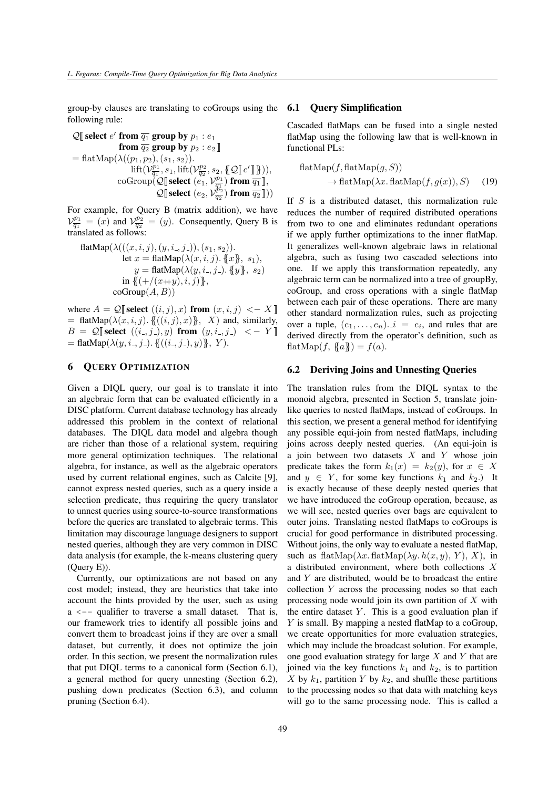group-by clauses are translating to coGroups using the following rule:

$$
\begin{aligned}\n\mathcal{Q}[\![\text{select } e'\text{ from } \overline{q_1} \text{ group by } p_1:e_1 \\
&\text{from } \overline{q_2} \text{ group by } p_2:e_2]\!] \\
&= \text{flatMap}(\lambda((p_1, p_2), (s_1, s_2)). \\
&\text{lift}(\mathcal{V}_{\overline{q_1}}^{p_1}, s_1, \text{lift}(\mathcal{V}_{\overline{q_2}}^{p_2}, s_2, \{\!\!\{Q[\![e']\]\!\!\}\!\!\})), \\
&\text{coGroup}(\mathcal{Q[\![\text{select } (e_1, \mathcal{V}_{\overline{q_1}}^{p_1})\text{ from } \overline{q_1}\,]\!], \\
&\mathcal{Q[\![\text{select } (e_2, \mathcal{V}_{\overline{q_2}}^{p_2})\text{ from } \overline{q_2}\,]\!]))\n\end{aligned}
$$

For example, for Query B (matrix addition), we have  $V_{\overline{q_1}}^{p_1} = (x)$  and  $V_{\overline{q_2}}^{p_2} = (y)$ . Consequently, Query B is translated as follows:

$$
\begin{array}{ll}\n\text{flatMap}(\lambda(((x, i, j), (y, i-, j-)), (s_1, s_2)). \\
\text{let } x = \text{flatMap}(\lambda(x, i, j). \{x\}, s_1), \\
y = \text{flatMap}(\lambda(y, i-, j-. \{y\}, s_2)) \\
\text{in } \{ (+/(x+y), i, j) \}, \\
\text{coGroup}(A, B))\n\end{array}
$$

where  $A = \mathcal{Q}$  select  $((i, j), x)$  from  $(x, i, j) < -X$ = flatMap( $\lambda(x, i, j)$ . {{ $((i, j), x)$ }}, X) and, similarly,  $B = \mathcal{Q}$  select  $((i_-, j_-), y)$  from  $(y, i_-, j_-) < -Y$  $=$  flatMap( $\lambda(y, i_-, j_-)$ . {{ $((i_-, j_-), y)$ }}, Y).

# <span id="page-14-0"></span>6 QUERY OPTIMIZATION

Given a DIQL query, our goal is to translate it into an algebraic form that can be evaluated efficiently in a DISC platform. Current database technology has already addressed this problem in the context of relational databases. The DIQL data model and algebra though are richer than those of a relational system, requiring more general optimization techniques. The relational algebra, for instance, as well as the algebraic operators used by current relational engines, such as Calcite [\[9\]](#page-24-13), cannot express nested queries, such as a query inside a selection predicate, thus requiring the query translator to unnest queries using source-to-source transformations before the queries are translated to algebraic terms. This limitation may discourage language designers to support nested queries, although they are very common in DISC data analysis (for example, the k-means clustering query (Query E)).

Currently, our optimizations are not based on any cost model; instead, they are heuristics that take into account the hints provided by the user, such as using  $a \leq -\alpha$  qualifier to traverse a small dataset. That is, our framework tries to identify all possible joins and convert them to broadcast joins if they are over a small dataset, but currently, it does not optimize the join order. In this section, we present the normalization rules that put DIQL terms to a canonical form (Section [6.1\)](#page-14-2), a general method for query unnesting (Section [6.2\)](#page-14-1), pushing down predicates (Section [6.3\)](#page-16-0), and column pruning (Section [6.4\)](#page-17-1).

# <span id="page-14-2"></span>6.1 Query Simplification

Cascaded flatMaps can be fused into a single nested flatMap using the following law that is well-known in functional PLs:

<span id="page-14-3"></span>
$$
flatMap(f, flatMap(g, S))
$$
  
 
$$
\rightarrow flatMap(\lambda x. flatMap(f, g(x)), S) \quad (19)
$$

If  $S$  is a distributed dataset, this normalization rule reduces the number of required distributed operations from two to one and eliminates redundant operations if we apply further optimizations to the inner flatMap. It generalizes well-known algebraic laws in relational algebra, such as fusing two cascaded selections into one. If we apply this transformation repeatedly, any algebraic term can be normalized into a tree of groupBy, coGroup, and cross operations with a single flatMap between each pair of these operations. There are many other standard normalization rules, such as projecting over a tuple,  $(e_1, \ldots, e_n) \cdot i = e_i$ , and rules that are derived directly from the operator's definition, such as flatMap( $f, \{a\}$ ) =  $f(a)$ .

# <span id="page-14-1"></span>6.2 Deriving Joins and Unnesting Queries

The translation rules from the DIQL syntax to the monoid algebra, presented in Section [5,](#page-12-0) translate joinlike queries to nested flatMaps, instead of coGroups. In this section, we present a general method for identifying any possible equi-join from nested flatMaps, including joins across deeply nested queries. (An equi-join is a join between two datasets  $X$  and  $Y$  whose join predicate takes the form  $k_1(x) = k_2(y)$ , for  $x \in X$ and  $y \in Y$ , for some key functions  $k_1$  and  $k_2$ .) It is exactly because of these deeply nested queries that we have introduced the coGroup operation, because, as we will see, nested queries over bags are equivalent to outer joins. Translating nested flatMaps to coGroups is crucial for good performance in distributed processing. Without joins, the only way to evaluate a nested flatMap, such as  $\text{flatMap}(\lambda x. \text{flatMap}(\lambda y. h(x, y), Y), X)$ , in a distributed environment, where both collections X and Y are distributed, would be to broadcast the entire collection Y across the processing nodes so that each processing node would join its own partition of  $X$  with the entire dataset  $Y$ . This is a good evaluation plan if Y is small. By mapping a nested flatMap to a coGroup, we create opportunities for more evaluation strategies, which may include the broadcast solution. For example, one good evaluation strategy for large X and Y that are joined via the key functions  $k_1$  and  $k_2$ , is to partition X by  $k_1$ , partition Y by  $k_2$ , and shuffle these partitions to the processing nodes so that data with matching keys will go to the same processing node. This is called a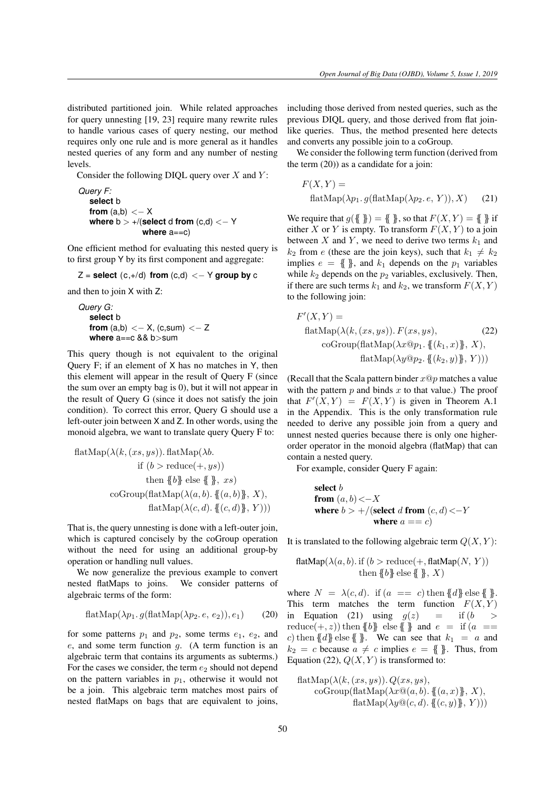distributed partitioned join. While related approaches for query unnesting [\[19,](#page-24-15) [23\]](#page-24-16) require many rewrite rules to handle various cases of query nesting, our method requires only one rule and is more general as it handles nested queries of any form and any number of nesting levels.

Consider the following DIQL query over  $X$  and  $Y$ :

```
Query F:
  select b
  from (a,b) < -Xwhere b > +/(select d from (c,d) < -Y)where a == c)
```
One efficient method for evaluating this nested query is to first group Y by its first component and aggregate:

```
Z = select (c,+/d) from (c,d) < - Y group by c
```
and then to join X with Z:

```
Query G:
  select b
  from (a,b) <- X, (c,sum) <- Zwhere a==c && b>sum
```
This query though is not equivalent to the original Query F; if an element of X has no matches in Y, then this element will appear in the result of Query F (since the sum over an empty bag is 0), but it will not appear in the result of Query G (since it does not satisfy the join condition). To correct this error, Query G should use a left-outer join between X and Z. In other words, using the monoid algebra, we want to translate query Query F to:

$$
flatMap(\lambda(k, (xs, ys)).\nflatMap(\lambda b.\n if (b > reduce(+, ys))\n then  $\{\!\!\{\!b\!\!\}\}$  else  $\{\!\!\{\!\!\{\!\!\{\!\!\{\!\!\}\!\}\}, xs)$ \n
$$
coGroup(\text{flatMap}(\lambda(a, b), \{\!\!\{\! (a, b) \!\!\}\!\}, X),
$$
\n
$$
flatMap(\lambda(c, d), \{\!\!\{\! (c, d) \!\!\}\!\}, Y)))
$$
$$

That is, the query unnesting is done with a left-outer join, which is captured concisely by the coGroup operation without the need for using an additional group-by operation or handling null values.

We now generalize the previous example to convert nested flatMaps to joins. We consider patterns of algebraic terms of the form:

$$
flatMap(\lambda p_1. g(flatMap(\lambda p_2. e, e_2)), e_1)
$$
 (20)

for some patterns  $p_1$  and  $p_2$ , some terms  $e_1$ ,  $e_2$ , and  $e$ , and some term function  $g$ . (A term function is an algebraic term that contains its arguments as subterms.) For the cases we consider, the term  $e_2$  should not depend on the pattern variables in  $p_1$ , otherwise it would not be a join. This algebraic term matches most pairs of nested flatMaps on bags that are equivalent to joins,

including those derived from nested queries, such as the previous DIQL query, and those derived from flat joinlike queries. Thus, the method presented here detects and converts any possible join to a coGroup.

We consider the following term function (derived from the term [\(20\)](#page-15-0)) as a candidate for a join:

<span id="page-15-1"></span>
$$
F(X, Y) =
$$
  
flatMap( $\lambda p_1$ .  $g$ (flatMap( $\lambda p_2$ .  $e, Y$ )),  $X$ ) (21)

We require that  $g({\{\!\!\{\}\!\!\}\}) = {\{\!\!\{\}\!\!\}}$ , so that  $F(X, Y) = {\{\!\!\{\}\!\!\}\}$  if either X or Y is empty. To transform  $F(X, Y)$  to a join between  $X$  and  $Y$ , we need to derive two terms  $k_1$  and  $k_2$  from e (these are the join keys), such that  $k_1 \neq k_2$ implies  $e = \{\}$ , and  $k_1$  depends on the  $p_1$  variables while  $k_2$  depends on the  $p_2$  variables, exclusively. Then, if there are such terms  $k_1$  and  $k_2$ , we transform  $F(X, Y)$ to the following join:

<span id="page-15-2"></span>
$$
F'(X,Y) =
$$
  
flatMap( $\lambda(k, (xs, ys))$ .  $F(xs, ys)$ ,  
coGroup(flatMap( $\lambda x \otimes p_1$ .  $\{(k_1, x)\}, X)$ ,  
flatMap( $\lambda y \otimes p_2$ .  $\{(k_2, y)\}, Y)$ )

(Recall that the Scala pattern binder  $x@p$  matches a value with the pattern  $p$  and binds  $x$  to that value.) The proof that  $F'(X,Y) = F(X,Y)$  is given in Theorem [A.1](#page-25-10) in the Appendix. This is the only transformation rule needed to derive any possible join from a query and unnest nested queries because there is only one higherorder operator in the monoid algebra (flatMap) that can contain a nested query.

For example, consider Query F again:

select 
$$
b
$$
  
from  $(a, b) < -X$   
where  $b > +/(\text{select } d \text{ from } (c, d) < -Y$   
where  $a == c$ )

It is translated to the following algebraic term  $Q(X, Y)$ :

$$
flatMap(\lambda(a, b)) \text{ if } (b > reduce(+, flatMap(N, Y))
$$
  
then  $\{\!\!\{\,b\,\}\!\!\}$  else  $\{\,\!\!\{\,\!\}\!\}$ ,  $X$ )

<span id="page-15-0"></span>where  $N = \lambda(c, d)$ . if  $(a == c)$  then  $\{d\}$  else  $\{\}\$ . This term matches the term function  $F(X, Y)$ in Equation [\(21\)](#page-15-1) using  $g(z)$  = if  $(b >$ reduce(+, z)) then  ${b}$  else  ${ \}$  and  $e =$  if  $(a ==$ c) then  ${d}$  else  ${ }$ . We can see that  $k_1 = a$  and  $k_2 = c$  because  $a \neq c$  implies  $e = \{\}\}$ . Thus, from Equation [\(22\)](#page-15-2),  $Q(X, Y)$  is transformed to:

$$
flatMap(\lambda(k, (xs, ys)). Q(xs, ys),\n coGroup(flatMap(\lambda x@(a, b). \{(a, x)\}, X),\n flatMap(\lambda y@(c, d). \{(c, y)\}, Y)))
$$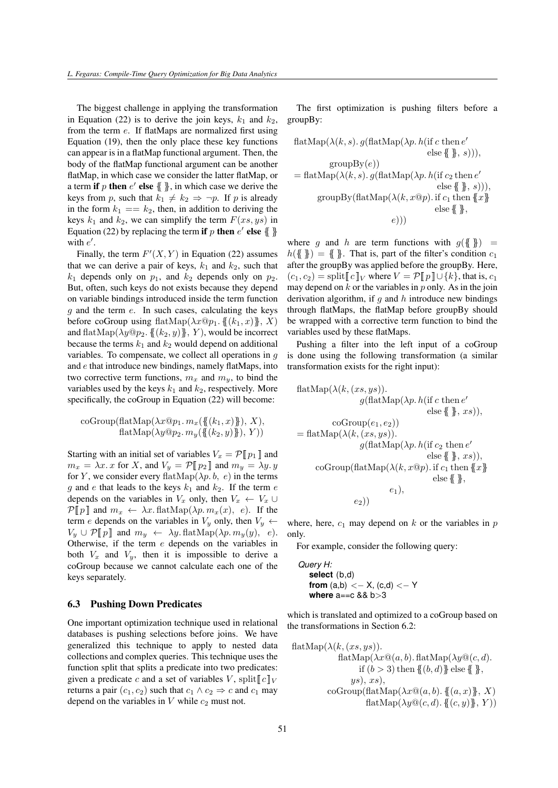The biggest challenge in applying the transformation in Equation [\(22\)](#page-15-2) is to derive the join keys,  $k_1$  and  $k_2$ , from the term e. If flatMaps are normalized first using Equation [\(19\)](#page-14-3), then the only place these key functions can appear is in a flatMap functional argument. Then, the body of the flatMap functional argument can be another flatMap, in which case we consider the latter flatMap, or a term if p then  $e'$  else  $\{\}\}$ , in which case we derive the keys from p, such that  $k_1 \neq k_2 \Rightarrow \neg p$ . If p is already in the form  $k_1 == k_2$ , then, in addition to deriving the keys  $k_1$  and  $k_2$ , we can simplify the term  $F(xs, ys)$  in Equation [\(22\)](#page-15-2) by replacing the term if p then  $e'$  else  $\{\}$ with  $e'$ .

Finally, the term  $F'(X, Y)$  in Equation [\(22\)](#page-15-2) assumes that we can derive a pair of keys,  $k_1$  and  $k_2$ , such that  $k_1$  depends only on  $p_1$ , and  $k_2$  depends only on  $p_2$ . But, often, such keys do not exists because they depend on variable bindings introduced inside the term function  $g$  and the term  $e$ . In such cases, calculating the keys before coGroup using flatMap( $\lambda x@p_1$ . {{ $(k_1, x)$ }, X) and flatMap( $\lambda y @ p_2$ . {{ $(k_2, y)$ }}, Y), would be incorrect because the terms  $k_1$  and  $k_2$  would depend on additional variables. To compensate, we collect all operations in  $q$ and e that introduce new bindings, namely flatMaps, into two corrective term functions,  $m_x$  and  $m_y$ , to bind the variables used by the keys  $k_1$  and  $k_2$ , respectively. More specifically, the coGroup in Equation [\(22\)](#page-15-2) will become:

$$
coGroup(\text{flatMap}(\lambda x@p_1. m_x(\{((k_1,x)\})), X),\text{flatMap}(\lambda y@p_2. m_y(\{(k_2,y)\}), Y))
$$

Starting with an initial set of variables  $V_x = \mathcal{P} \llbracket p_1 \rrbracket$  and  $m_x = \lambda x$ . x for X, and  $V_y = \mathcal{P} [p_2]$  and  $m_y = \lambda y$ . for Y, we consider every flatMap( $\lambda p$ ,  $b$ ,  $e$ ) in the terms g and e that leads to the keys  $k_1$  and  $k_2$ . If the term e depends on the variables in  $V_x$  only, then  $V_x \leftarrow V_x \cup$  $\mathcal{P}[\![p]\!]$  and  $m_x \leftarrow \lambda x$ . flatMap( $\lambda p \cdot m_x(x)$ , e). If the term e depends on the variables in  $V_y$  only, then  $V_y$   $\leftarrow$  $V_y \cup \mathcal{P} [\![p]\!]$  and  $m_y \leftarrow \lambda y$ . flatMap( $\lambda p$ .  $m_y(y)$ ,  $e$ ). Otherwise, if the term e depends on the variables in both  $V_x$  and  $V_y$ , then it is impossible to derive a coGroup because we cannot calculate each one of the keys separately.

# <span id="page-16-0"></span>6.3 Pushing Down Predicates

One important optimization technique used in relational databases is pushing selections before joins. We have generalized this technique to apply to nested data collections and complex queries. This technique uses the function split that splits a predicate into two predicates: given a predicate c and a set of variables V, split  $\lbrack c \rbrack_V$ returns a pair  $(c_1, c_2)$  such that  $c_1 \wedge c_2 \Rightarrow c$  and  $c_1$  may depend on the variables in  $V$  while  $c_2$  must not.

The first optimization is pushing filters before a groupBy:

$$
flatMap(\lambda(k, s). g(flatMap(\lambda p. h(if c then e' e) e) e) = flatMap(\lambda(k, s). g(flatMap(\lambda p. h(if c2 then e' e) e) e) = \text{distMap}(\lambda(k, s). g(flatMap(\lambda p. h(if c2 then e' e) e) e) = \text{distMap}(\lambda(k, x@p). if c1 then \{x\} e) = \text{distMap}(\lambda(k, x@p). f(1) e) = \text{distMap}(\lambda(k, x@p). f(2) e) = \text{distMap}(\lambda(k, x@p). f(3) e) = \text{distMap}(\lambda(k, x@p). f(4) e) = \text{distMap}(\lambda(k, x@p). f(5) e) = \text{distMap}(\lambda(k, x@p). f(6) e) = \text{distMap}(\lambda(k, x@p). f(7) e) = \text{distMap}(\lambda(k, x@p). f(8) e) = \text{distMap}(\lambda(k, x@p). f(9) e) = \text{distMap}(\lambda(k, x@p). f(9) e) = \text{distMap}(\lambda(k, x@p). f(1) e) = \text{distMap}(\lambda(k, x@p). f(1) e) = \text{distMap}(\lambda(k, x@p). f(2) e) = \text{distMap}(\lambda(k, x@p). f(3) e) = \text{distMap}(\lambda(k, x@p). f(4) e) = \text{distMap}(\lambda(k, x@p). f(5) e) = \text{distMap}(\lambda(k, x@p). f(6) e) = \text{distMap}(\lambda(k, x@p). f(7) e) = \text{distMap}(\lambda(k, x@p). f(8) e) = \text{distMap}(\lambda(k, x@p). f(9) e) = \text{distMap}(\lambda(k, x@p). f(9) e) = \text{distMap}(\lambda(k, x@p). f(1) e) = \text{distMap}(\lambda(k, x@p). f(1) e) = \text{distMap}(\lambda(k, x@p). f(1) e) = \text{distMap}(\lambda(k, x@p). f(1) e) = \text{distMap}(\lambda(k, x@p). f(2) e) = \text{distMap}(\lambda(k, x@p). f(3) e) = \text{distMap}(\lambda(k, x@p). f(4) e) = \text{distMap}(\lambda(k, x@p). f(5) e) = \text{distMap}(\lambda(k,
$$

where g and h are term functions with  $g({\{\}\}) =$  $h({\{\}\}) = {\{\}\}$ . That is, part of the filter's condition  $c_1$ after the groupBy was applied before the groupBy. Here,  $(c_1, c_2)$  = split  $\llbracket c \rrbracket_V$  where  $V = \mathcal{P} \llbracket p \rrbracket \cup \{k\},$  that is,  $c_1$ may depend on  $k$  or the variables in  $p$  only. As in the join derivation algorithm, if  $q$  and  $h$  introduce new bindings through flatMaps, the flatMap before groupBy should be wrapped with a corrective term function to bind the variables used by these flatMaps.

Pushing a filter into the left input of a coGroup is done using the following transformation (a similar transformation exists for the right input):

$$
flatMap(\lambda(k, (xs, ys)),\ng({\text{flatMap}}(\lambda p. h({\text{if } c \text{ then } e'}\text{else } {\{\}}, xs)),\ncoGroup(e_1, e_2))\n= flatMap(\lambda(k, (xs, ys)).\ng({\text{flatMap}}(\lambda p. h({\text{if } c_2 \text{ then } e'}\text{else } {\{\}, xs)),\ncoGroup({\text{flatMap}}(\lambda(k, x@p). if c_1 then {x}\}\text{else } {\{\},\ne_1),\ne_2))
$$

where, here,  $c_1$  may depend on k or the variables in  $p$ only.

For example, consider the following query:

*Query H:* **select** (b,d) **from** (a,b) < $- X$ , (c,d) < $- Y$ **where** a==c && b>3

which is translated and optimized to a coGroup based on the transformations in Section [6.2:](#page-14-1)

$$
\begin{array}{ll}\n\text{flatMap}(\lambda(k,(xs,ys)).\\
\text{flatMap}(\lambda x @ (a, b). \text{flatMap}(\lambda y @ (c, d).\\
\text{if } (b > 3) \text{ then } \{(b, d)\} \text{ else } \{\}\},\\
y s), x s),\\
\text{coGroup}(\text{flatMap}(\lambda x @ (a, b). \{(a, x)\}, X)\\
\text{flatMap}(\lambda y @ (c, d). \{(c, y)\}, Y))\n\end{array}
$$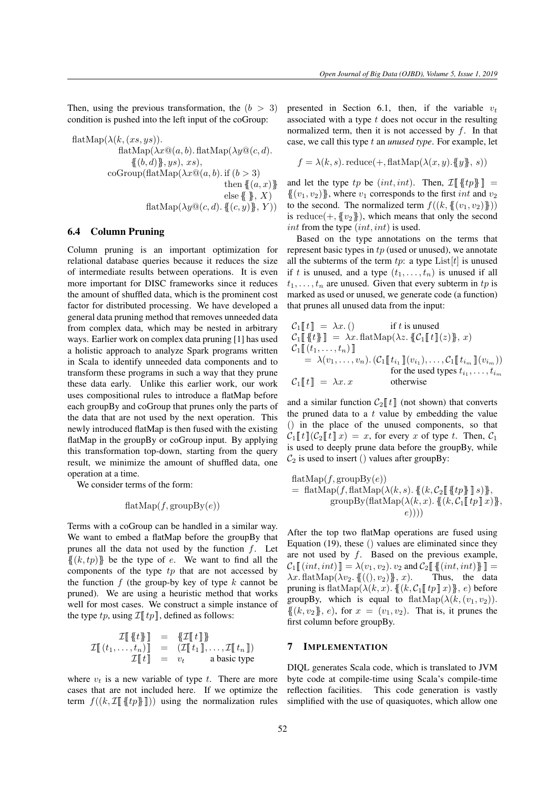Then, using the previous transformation, the  $(b > 3)$ condition is pushed into the left input of the coGroup:

$$
\begin{array}{ll}\n\text{flatMap}(\lambda(k,(xs,ys)).\\
\text{flatMap}(\lambda x \mathbf{Q}(a,b),\text{flatMap}(\lambda y \mathbf{Q}(c,d),\\
& \quad \{(b,d)\}\},ys), xs),\\
& \quad \text{coGroup}(\text{flatMap}(\lambda x \mathbf{Q}(a,b),\text{if } (b > 3)\\
& \quad \text{then } \{(a,x)\}\n\end{array}
$$
\n
$$
\text{flatMap}(\lambda y \mathbf{Q}(c,d), \{(c,y)\}, Y))
$$

# <span id="page-17-1"></span>6.4 Column Pruning

Column pruning is an important optimization for relational database queries because it reduces the size of intermediate results between operations. It is even more important for DISC frameworks since it reduces the amount of shuffled data, which is the prominent cost factor for distributed processing. We have developed a general data pruning method that removes unneeded data from complex data, which may be nested in arbitrary ways. Earlier work on complex data pruning [\[1\]](#page-23-5) has used a holistic approach to analyze Spark programs written in Scala to identify unneeded data components and to transform these programs in such a way that they prune these data early. Unlike this earlier work, our work uses compositional rules to introduce a flatMap before each groupBy and coGroup that prunes only the parts of the data that are not used by the next operation. This newly introduced flatMap is then fused with the existing flatMap in the groupBy or coGroup input. By applying this transformation top-down, starting from the query result, we minimize the amount of shuffled data, one operation at a time.

We consider terms of the form:

$$
flatMap(f, groupBy(e))
$$

Terms with a coGroup can be handled in a similar way. We want to embed a flatMap before the groupBy that prunes all the data not used by the function f. Let  $\{(k, tp)\}\$  be the type of e. We want to find all the components of the type  $tp$  that are not accessed by the function  $f$  (the group-by key of type  $k$  cannot be pruned). We are using a heuristic method that works well for most cases. We construct a simple instance of the type  $tp$ , using  $\mathcal{I}[[tp]]$ , defined as follows:

$$
\mathcal{I}[\![\![\{t\}]\!] = \{\!\!\{ \mathcal{I}[\![t]\!] \}\!\!\} \n\mathcal{I}[\![\{t_1,\ldots,t_n\}]\!] = (\mathcal{I}[\![t_1]\!],\ldots,\mathcal{I}[\![t_n]\!]) \n\mathcal{I}[\![t]\!] = v_t \quad \text{a basic type}
$$

where  $v_t$  is a new variable of type t. There are more cases that are not included here. If we optimize the term  $f((k, \mathcal{I} \llbracket \{ \{tp\} \rrbracket))$  using the normalization rules presented in Section [6.1,](#page-14-2) then, if the variable  $v_t$ associated with a type  $t$  does not occur in the resulting normalized term, then it is not accessed by f. In that case, we call this type t an *unused type*. For example, let

$$
f = \lambda(k, s) \cdot \text{reduce}(+, \text{flatMap}(\lambda(x, y), \{y\}, s))
$$

and let the type tp be  $(int, int)$ . Then,  $\mathcal{I} [\{tr\} \ ] =$  $\{(v_1, v_2)\}\)$ , where  $v_1$  corresponds to the first *int* and  $v_2$ to the second. The normalized term  $f((k, \{ (v_1, v_2) \})$ is reduce(+,  $\{v_2\}$ ), which means that only the second int from the type  $(int, int)$  is used.

Based on the type annotations on the terms that represent basic types in  $tp$  (used or unused), we annotate all the subterms of the term  $tp$ : a type List  $[t]$  is unused if t is unused, and a type  $(t_1, \ldots, t_n)$  is unused if all  $t_1, \ldots, t_n$  are unused. Given that every subterm in tp is marked as used or unused, we generate code (a function) that prunes all unused data from the input:

$$
C_1[[t]] = \lambda x. () \quad \text{if } t \text{ is unused}
$$
  
\n
$$
C_1[[\{t\}\]] = \lambda x. \text{ flatMap}(\lambda z. \{C_1[[t]](z)\}, x)
$$
  
\n
$$
C_1[[(t_1, \ldots, t_n)]]
$$
  
\n
$$
= \lambda (v_1, \ldots, v_n). (C_1[[t_{i_1}]](v_{i_1}), \ldots, C_1[[t_{i_m}]](v_{i_m}))
$$
  
\nfor the used types  $t_{i_1}, \ldots, t_{i_m}$   
\n
$$
C_1[[t]] = \lambda x. x \quad \text{otherwise}
$$

and a similar function  $C_2 \llbracket t \rrbracket$  (not shown) that converts the pruned data to a  $t$  value by embedding the value () in the place of the unused components, so that  $\mathcal{C}_1 \llbracket t \rrbracket (\mathcal{C}_2 \llbracket t \rrbracket x) = x$ , for every x of type t. Then,  $\mathcal{C}_1$ is used to deeply prune data before the groupBy, while  $\mathcal{C}_2$  is used to insert () values after groupBy:

$$
flatMap(f, groupBy(e))
$$
  
= flatMap(f, flatMap( $\lambda(k, s)$ ). {( $k, C_2$ [[ $\{tp\}$ ]] $s$ )},  
groupBy(flatMap( $\lambda(k, x)$ ). {( $k, C_1$ [[ $tp$ ]] $x$ )},  
 $e$ )))

After the top two flatMap operations are fused using Equation [\(19\)](#page-14-3), these () values are eliminated since they are not used by  $f$ . Based on the previous example,  $\mathcal{C}_1 \llbracket (int, int) \rrbracket = \lambda(v_1, v_2)$ .  $v_2$  and  $\mathcal{C}_2 \llbracket \llbracket (int, int) \rrbracket =$  $\lambda x. \text{ flatMap}(\lambda v_2, \{((), v_2)\}, x).$  Thus, the data pruning is flatMap( $\lambda(k, x)$ .  $\{[(k, C_1 \mid x) \}, e)$  before groupBy, which is equal to flatMap( $\lambda(k,(v_1, v_2))$ .  $\{(k, v_2)\}, e$ , for  $x = (v_1, v_2)$ . That is, it prunes the first column before groupBy.

#### <span id="page-17-0"></span>7 IMPLEMENTATION

DIQL generates Scala code, which is translated to JVM byte code at compile-time using Scala's compile-time reflection facilities. This code generation is vastly simplified with the use of quasiquotes, which allow one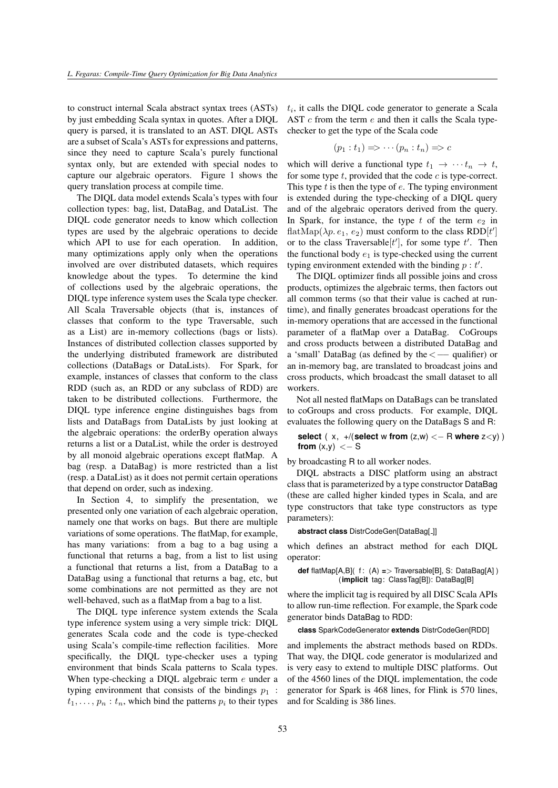to construct internal Scala abstract syntax trees (ASTs) by just embedding Scala syntax in quotes. After a DIQL query is parsed, it is translated to an AST. DIQL ASTs are a subset of Scala's ASTs for expressions and patterns, since they need to capture Scala's purely functional syntax only, but are extended with special nodes to capture our algebraic operators. Figure [1](#page-19-1) shows the query translation process at compile time.

The DIQL data model extends Scala's types with four collection types: bag, list, DataBag, and DataList. The DIQL code generator needs to know which collection types are used by the algebraic operations to decide which API to use for each operation. In addition, many optimizations apply only when the operations involved are over distributed datasets, which requires knowledge about the types. To determine the kind of collections used by the algebraic operations, the DIQL type inference system uses the Scala type checker. All Scala Traversable objects (that is, instances of classes that conform to the type Traversable, such as a List) are in-memory collections (bags or lists). Instances of distributed collection classes supported by the underlying distributed framework are distributed collections (DataBags or DataLists). For Spark, for example, instances of classes that conform to the class RDD (such as, an RDD or any subclass of RDD) are taken to be distributed collections. Furthermore, the DIQL type inference engine distinguishes bags from lists and DataBags from DataLists by just looking at the algebraic operations: the orderBy operation always returns a list or a DataList, while the order is destroyed by all monoid algebraic operations except flatMap. A bag (resp. a DataBag) is more restricted than a list (resp. a DataList) as it does not permit certain operations that depend on order, such as indexing.

In Section [4,](#page-9-0) to simplify the presentation, we presented only one variation of each algebraic operation, namely one that works on bags. But there are multiple variations of some operations. The flatMap, for example, has many variations: from a bag to a bag using a functional that returns a bag, from a list to list using a functional that returns a list, from a DataBag to a DataBag using a functional that returns a bag, etc, but some combinations are not permitted as they are not well-behaved, such as a flatMap from a bag to a list.

The DIQL type inference system extends the Scala type inference system using a very simple trick: DIQL generates Scala code and the code is type-checked using Scala's compile-time reflection facilities. More specifically, the DIQL type-checker uses a typing environment that binds Scala patterns to Scala types. When type-checking a DIQL algebraic term  $e$  under a typing environment that consists of the bindings  $p_1$  :  $t_1, \ldots, p_n : t_n$ , which bind the patterns  $p_i$  to their types

 $t_i$ , it calls the DIQL code generator to generate a Scala AST  $c$  from the term  $e$  and then it calls the Scala typechecker to get the type of the Scala code

$$
(p_1: t_1) \Longrightarrow \cdots (p_n: t_n) \Longrightarrow c
$$

which will derive a functional type  $t_1 \rightarrow \cdots t_n \rightarrow t$ , for some type  $t$ , provided that the code  $c$  is type-correct. This type  $t$  is then the type of  $e$ . The typing environment is extended during the type-checking of a DIQL query and of the algebraic operators derived from the query. In Spark, for instance, the type t of the term  $e_2$  in flatMap( $\lambda p. e_1, e_2$ ) must conform to the class RDD[t'] or to the class Traversable [ $t'$ ], for some type  $t'$ . Then the functional body  $e_1$  is type-checked using the current typing environment extended with the binding  $p : t'$ .

The DIQL optimizer finds all possible joins and cross products, optimizes the algebraic terms, then factors out all common terms (so that their value is cached at runtime), and finally generates broadcast operations for the in-memory operations that are accessed in the functional parameter of a flatMap over a DataBag. CoGroups and cross products between a distributed DataBag and a 'small' DataBag (as defined by the  $\lt$  — qualifier) or an in-memory bag, are translated to broadcast joins and cross products, which broadcast the small dataset to all workers.

Not all nested flatMaps on DataBags can be translated to coGroups and cross products. For example, DIQL evaluates the following query on the DataBags S and R:

select ( x, +/-(select w from 
$$
(z,w) < -R
$$
 where  $z < y$ )\n  
from  $(x,y) < -S$ 

by broadcasting R to all worker nodes.

DIQL abstracts a DISC platform using an abstract class that is parameterized by a type constructor DataBag (these are called higher kinded types in Scala, and are type constructors that take type constructors as type parameters):

#### **abstract class** DistrCodeGen[DataBag[ ]]

which defines an abstract method for each DIQL operator:

## **def** flatMap[A,B]( f: (A) => Traversable[B], S: DataBag[A] ) (**implicit** tag: ClassTag[B]): DataBag[B]

where the implicit tag is required by all DISC Scala APIs to allow run-time reflection. For example, the Spark code generator binds DataBag to RDD:

**class** SparkCodeGenerator **extends** DistrCodeGen[RDD]

and implements the abstract methods based on RDDs. That way, the DIQL code generator is modularized and is very easy to extend to multiple DISC platforms. Out of the 4560 lines of the DIQL implementation, the code generator for Spark is 468 lines, for Flink is 570 lines, and for Scalding is 386 lines.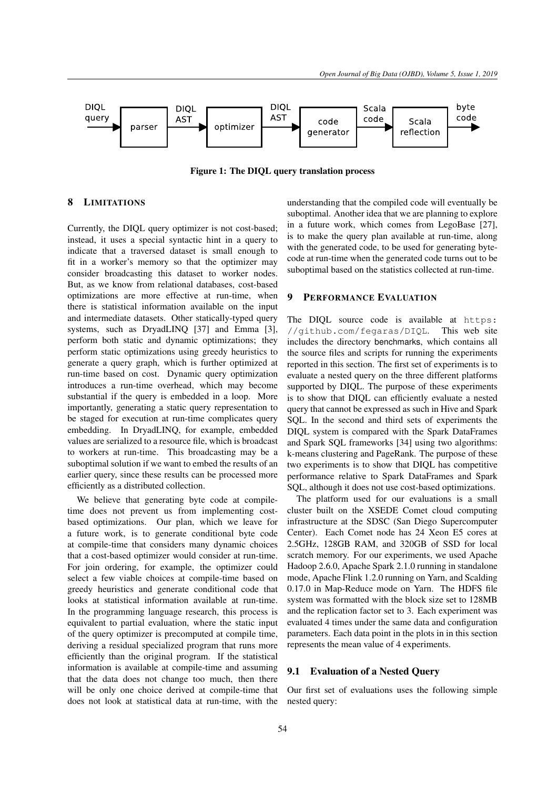<span id="page-19-1"></span>

Figure 1: The DIQL query translation process

# 8 LIMITATIONS

Currently, the DIQL query optimizer is not cost-based; instead, it uses a special syntactic hint in a query to indicate that a traversed dataset is small enough to fit in a worker's memory so that the optimizer may consider broadcasting this dataset to worker nodes. But, as we know from relational databases, cost-based optimizations are more effective at run-time, when there is statistical information available on the input and intermediate datasets. Other statically-typed query systems, such as DryadLINQ [\[37\]](#page-25-5) and Emma [\[3\]](#page-23-4), perform both static and dynamic optimizations; they perform static optimizations using greedy heuristics to generate a query graph, which is further optimized at run-time based on cost. Dynamic query optimization introduces a run-time overhead, which may become substantial if the query is embedded in a loop. More importantly, generating a static query representation to be staged for execution at run-time complicates query embedding. In DryadLINQ, for example, embedded values are serialized to a resource file, which is broadcast to workers at run-time. This broadcasting may be a suboptimal solution if we want to embed the results of an earlier query, since these results can be processed more efficiently as a distributed collection.

We believe that generating byte code at compiletime does not prevent us from implementing costbased optimizations. Our plan, which we leave for a future work, is to generate conditional byte code at compile-time that considers many dynamic choices that a cost-based optimizer would consider at run-time. For join ordering, for example, the optimizer could select a few viable choices at compile-time based on greedy heuristics and generate conditional code that looks at statistical information available at run-time. In the programming language research, this process is equivalent to partial evaluation, where the static input of the query optimizer is precomputed at compile time, deriving a residual specialized program that runs more efficiently than the original program. If the statistical information is available at compile-time and assuming that the data does not change too much, then there will be only one choice derived at compile-time that does not look at statistical data at run-time, with the understanding that the compiled code will eventually be suboptimal. Another idea that we are planning to explore in a future work, which comes from LegoBase [\[27\]](#page-24-14), is to make the query plan available at run-time, along with the generated code, to be used for generating bytecode at run-time when the generated code turns out to be suboptimal based on the statistics collected at run-time.

## <span id="page-19-0"></span>9 PERFORMANCE EVALUATION

The DIQL source code is available at [https:](https://github.com/fegaras/DIQL) [//github.com/fegaras/DIQL](https://github.com/fegaras/DIQL). This web site includes the directory benchmarks, which contains all the source files and scripts for running the experiments reported in this section. The first set of experiments is to evaluate a nested query on the three different platforms supported by DIQL. The purpose of these experiments is to show that DIQL can efficiently evaluate a nested query that cannot be expressed as such in Hive and Spark SQL. In the second and third sets of experiments the DIQL system is compared with the Spark DataFrames and Spark SQL frameworks [\[34\]](#page-25-3) using two algorithms: k-means clustering and PageRank. The purpose of these two experiments is to show that DIQL has competitive performance relative to Spark DataFrames and Spark SQL, although it does not use cost-based optimizations.

The platform used for our evaluations is a small cluster built on the XSEDE Comet cloud computing infrastructure at the SDSC (San Diego Supercomputer Center). Each Comet node has 24 Xeon E5 cores at 2.5GHz, 128GB RAM, and 320GB of SSD for local scratch memory. For our experiments, we used Apache Hadoop 2.6.0, Apache Spark 2.1.0 running in standalone mode, Apache Flink 1.2.0 running on Yarn, and Scalding 0.17.0 in Map-Reduce mode on Yarn. The HDFS file system was formatted with the block size set to 128MB and the replication factor set to 3. Each experiment was evaluated 4 times under the same data and configuration parameters. Each data point in the plots in in this section represents the mean value of 4 experiments.

# 9.1 Evaluation of a Nested Query

Our first set of evaluations uses the following simple nested query: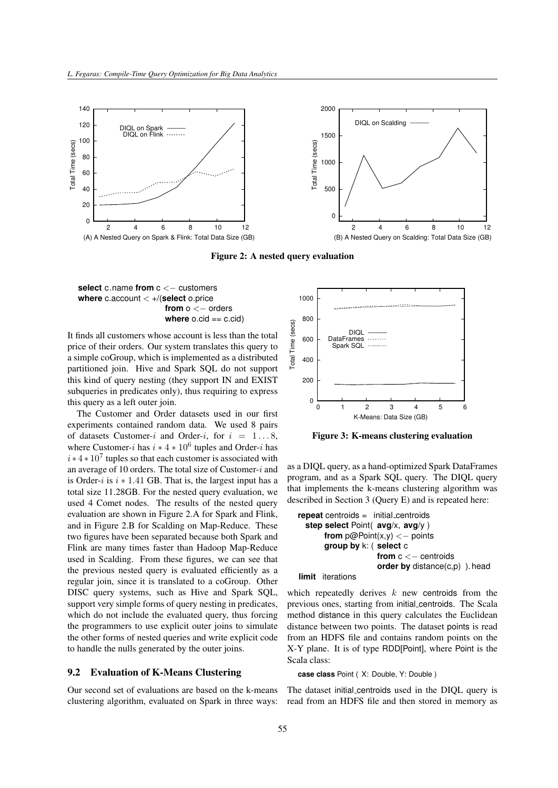<span id="page-20-0"></span>

Figure 2: A nested query evaluation

**select** c.name **from** c <− customers **where** c.account < +/(**select** o.price **from** o <− orders **where** o.cid == c.cid)

It finds all customers whose account is less than the total price of their orders. Our system translates this query to a simple coGroup, which is implemented as a distributed partitioned join. Hive and Spark SQL do not support this kind of query nesting (they support IN and EXIST subqueries in predicates only), thus requiring to express this query as a left outer join.

The Customer and Order datasets used in our first experiments contained random data. We used 8 pairs of datasets Customer-i and Order-i, for  $i = 1...8$ , where Customer-i has  $i * 4 * 10^6$  tuples and Order-i has  $i \times 4 \times 10^7$  tuples so that each customer is associated with an average of 10 orders. The total size of Customer-i and is Order-i is  $i * 1.41$  GB. That is, the largest input has a total size 11.28GB. For the nested query evaluation, we used 4 Comet nodes. The results of the nested query evaluation are shown in Figure [2.](#page-20-0)A for Spark and Flink, and in Figure [2.](#page-20-0)B for Scalding on Map-Reduce. These two figures have been separated because both Spark and Flink are many times faster than Hadoop Map-Reduce used in Scalding. From these figures, we can see that the previous nested query is evaluated efficiently as a regular join, since it is translated to a coGroup. Other DISC query systems, such as Hive and Spark SQL, support very simple forms of query nesting in predicates, which do not include the evaluated query, thus forcing the programmers to use explicit outer joins to simulate the other forms of nested queries and write explicit code to handle the nulls generated by the outer joins.

# 9.2 Evaluation of K-Means Clustering

Our second set of evaluations are based on the k-means clustering algorithm, evaluated on Spark in three ways:

<span id="page-20-1"></span>

Figure 3: K-means clustering evaluation

as a DIQL query, as a hand-optimized Spark DataFrames program, and as a Spark SQL query. The DIQL query that implements the k-means clustering algorithm was described in Section [3](#page-6-0) (Query E) and is repeated here:

```
repeat centroids = initial_centroids
  step select Point( avg/x, avg/y )
      from p@Point(x,y) <− points
      group by k: ( select c
                     from c <- centroids
                     order by distance(c,p) ). head
limit iterations
```
which repeatedly derives  $k$  new centroids from the previous ones, starting from initial centroids. The Scala method distance in this query calculates the Euclidean distance between two points. The dataset points is read from an HDFS file and contains random points on the X-Y plane. It is of type RDD[Point], where Point is the Scala class:

**case class** Point ( X: Double, Y: Double )

The dataset initial centroids used in the DIQL query is read from an HDFS file and then stored in memory as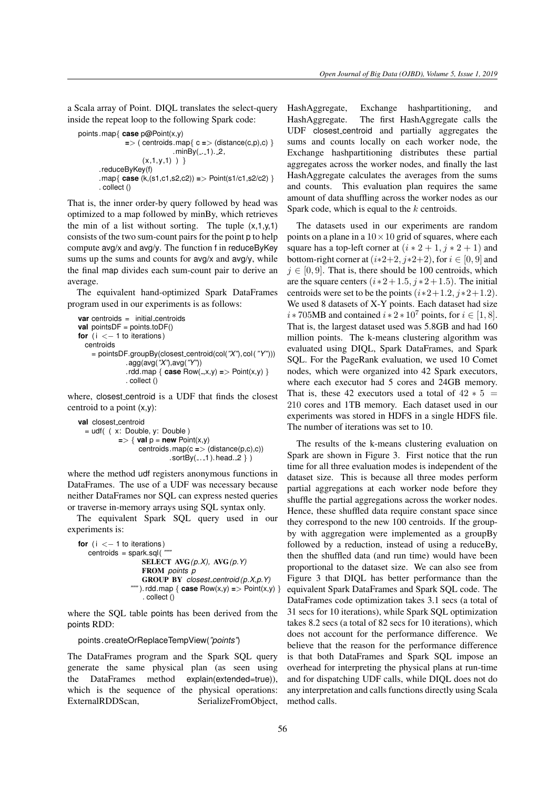a Scala array of Point. DIQL translates the select-query inside the repeat loop to the following Spark code:

```
points.map{ case p@Point(x,y)
              => ( centroids.map{ c => (distance(c,p),c) }
                            .minBy(...1)..2,
                   (x,1,y,1) ) }
      . reduceByKey(f)
      .map{ case (k,(s1,c1,s2,c2)) => Point(s1/c1,s2/c2) }
      . collect ()
```
That is, the inner order-by query followed by head was optimized to a map followed by minBy, which retrieves the min of a list without sorting. The tuple  $(x,1,y,1)$ consists of the two sum-count pairs for the point p to help compute avg/x and avg/y. The function f in reduceByKey sums up the sums and counts for avg/x and avg/y, while the final map divides each sum-count pair to derive an average.

The equivalent hand-optimized Spark DataFrames program used in our experiments is as follows:

```
var centroids = initial_centroids
val pointsDF = points.toDF()
for (i < -1 to iterations)
  centroids
    = pointsDF.groupBy(closest centroid(col("X"),col ("Y")))
                .agg(avg("X"),avg("Y"))
                . rdd.map \{ \text{case Row}(\_, x, y) \implies \text{Point}(x, y) \}. collect ()
```
where, closest centroid is a UDF that finds the closest centroid to a point (x,y):

```
val closest_centroid
  = udf( ( x: Double, y: Double )
             \Rightarrow { val p = new Point(x,y)
                   centroids.map(c => (distance(p,c),c))
                              .sortBy(\dots 1). head. 2 \})
```
where the method udf registers anonymous functions in DataFrames. The use of a UDF was necessary because neither DataFrames nor SQL can express nested queries or traverse in-memory arrays using SQL syntax only.

The equivalent Spark SQL query used in our experiments is:

```
for (i < -1 to iterations)
  centroids = spark.sql(
                  SELECT AVG(p.X), AVG(p.Y)
                  FROM points p
                  GROUP BY closest centroid (p.X,p.Y)
               """ ). rdd.map { case Row(x,y) => Point(x,y) }
                  . collect ()
```
where the SQL table points has been derived from the points RDD:

#### points.createOrReplaceTempView(*"points"*)

The DataFrames program and the Spark SQL query generate the same physical plan (as seen using the DataFrames method explain(extended=true)), which is the sequence of the physical operations: ExternalRDDScan, SerializeFromObject, HashAggregate, Exchange hashpartitioning, and HashAggregate. The first HashAggregate calls the UDF closest centroid and partially aggregates the sums and counts locally on each worker node, the Exchange hashpartitioning distributes these partial aggregates across the worker nodes, and finally the last HashAggregate calculates the averages from the sums and counts. This evaluation plan requires the same amount of data shuffling across the worker nodes as our Spark code, which is equal to the  $k$  centroids.

The datasets used in our experiments are random points on a plane in a  $10 \times 10$  grid of squares, where each square has a top-left corner at  $(i * 2 + 1, j * 2 + 1)$  and bottom-right corner at  $(i*2+2, j*2+2)$ , for  $i \in [0, 9]$  and  $j \in [0, 9]$ . That is, there should be 100 centroids, which are the square centers  $(i*2+1.5, j*2+1.5)$ . The initial centroids were set to be the points  $(i*2+1.2, i*2+1.2)$ . We used 8 datasets of X-Y points. Each dataset had size  $i * 705MB$  and contained  $i * 2 * 10^7$  points, for  $i \in [1, 8]$ . That is, the largest dataset used was 5.8GB and had 160 million points. The k-means clustering algorithm was evaluated using DIQL, Spark DataFrames, and Spark SQL. For the PageRank evaluation, we used 10 Comet nodes, which were organized into 42 Spark executors, where each executor had 5 cores and 24GB memory. That is, these 42 executors used a total of  $42 \times 5$  = 210 cores and 1TB memory. Each dataset used in our experiments was stored in HDFS in a single HDFS file. The number of iterations was set to 10.

The results of the k-means clustering evaluation on Spark are shown in Figure [3.](#page-20-1) First notice that the run time for all three evaluation modes is independent of the dataset size. This is because all three modes perform partial aggregations at each worker node before they shuffle the partial aggregations across the worker nodes. Hence, these shuffled data require constant space since they correspond to the new 100 centroids. If the groupby with aggregation were implemented as a groupBy followed by a reduction, instead of using a reduceBy, then the shuffled data (and run time) would have been proportional to the dataset size. We can also see from Figure [3](#page-20-1) that DIQL has better performance than the equivalent Spark DataFrames and Spark SQL code. The DataFrames code optimization takes 3.1 secs (a total of 31 secs for 10 iterations), while Spark SQL optimization takes 8.2 secs (a total of 82 secs for 10 iterations), which does not account for the performance difference. We believe that the reason for the performance difference is that both DataFrames and Spark SQL impose an overhead for interpreting the physical plans at run-time and for dispatching UDF calls, while DIQL does not do any interpretation and calls functions directly using Scala method calls.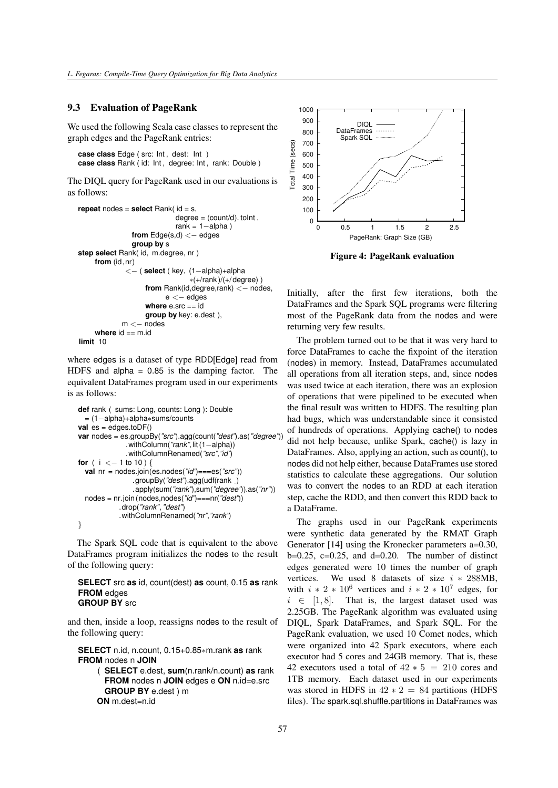# 9.3 Evaluation of PageRank

We used the following Scala case classes to represent the graph edges and the PageRank entries:

```
case class Edge ( src: Int , dest: Int )
case class Rank ( id: Int , degree: Int , rank: Double )
```
The DIQL query for PageRank used in our evaluations is as follows:

```
repeat nodes = select Rank( id = s,
                             degree = (count/d). toInt ,
                             rank = 1 - \alphalpha)
               from Edge(s,d) <- edges
                group by s
step select Rank( id, m.degree, nr )
    from (id,nr)
              <− ( select ( key, (1−alpha)+alpha
                                 ∗(+/rank )/(+/ degree) )
                    from Rank(id,degree,rank) <- nodes,
                          e < - edges
                    where e.src == id
                    group by key: e.dest ),
            m < - nodes
     where id == m.id
limit 10
```
where edges is a dataset of type RDD[Edge] read from HDFS and alpha = 0.85 is the damping factor. The equivalent DataFrames program used in our experiments is as follows:

```
def rank ( sums: Long, counts: Long ): Double
 = (1−alpha)+alpha∗sums/counts
val es = edges.toDF()
var nodes = es.groupBy("src").agg(count("dest").as("degree"))
              .withColumn("rank", lit (1−alpha))
              .withColumnRenamed("src","id")
for ( i < -1 to 10 ) {
 val nr = nodes.join(es.nodes("id")===es("src"))
                .groupBy("dest").agg(udf(rank <sub>-</sub>)
                .apply(sum("rank"),sum("degree")).as("nr"))
 nodes = nr.join (nodes,nodes("id")===nr("dest"))
            .drop("rank","dest")
            .withColumnRenamed("nr","rank")
}
```
The Spark SQL code that is equivalent to the above DataFrames program initializes the nodes to the result of the following query:

**SELECT** src **as** id, count(dest) **as** count, 0.15 **as** rank **FROM** edges **GROUP BY** src

```
and then, inside a loop, reassigns nodes to the result of
the following query:
```
**SELECT** n.id, n.count, 0.15+0.85∗m.rank **as** rank **FROM** nodes n **JOIN**

( **SELECT** e.dest, **sum**(n.rank/n.count) **as** rank **FROM** nodes n **JOIN** edges e **ON** n.id=e.src **GROUP BY** e.dest ) m **ON** m.dest=n.id

<span id="page-22-0"></span>

Figure 4: PageRank evaluation

Initially, after the first few iterations, both the DataFrames and the Spark SQL programs were filtering most of the PageRank data from the nodes and were returning very few results.

The problem turned out to be that it was very hard to force DataFrames to cache the fixpoint of the iteration (nodes) in memory. Instead, DataFrames accumulated all operations from all iteration steps, and, since nodes was used twice at each iteration, there was an explosion of operations that were pipelined to be executed when the final result was written to HDFS. The resulting plan had bugs, which was understandable since it consisted of hundreds of operations. Applying cache() to nodes did not help because, unlike Spark, cache() is lazy in DataFrames. Also, applying an action, such as count(), to nodes did not help either, because DataFrames use stored statistics to calculate these aggregations. Our solution was to convert the nodes to an RDD at each iteration step, cache the RDD, and then convert this RDD back to a DataFrame.

The graphs used in our PageRank experiments were synthetic data generated by the RMAT Graph Generator [\[14\]](#page-24-17) using the Kronecker parameters a=0.30,  $b=0.25$ ,  $c=0.25$ , and  $d=0.20$ . The number of distinct edges generated were 10 times the number of graph vertices. We used 8 datasets of size  $i * 288MB$ , with  $i * 2 * 10^6$  vertices and  $i * 2 * 10^7$  edges, for  $i \in [1, 8]$ . That is, the largest dataset used was 2.25GB. The PageRank algorithm was evaluated using DIQL, Spark DataFrames, and Spark SQL. For the PageRank evaluation, we used 10 Comet nodes, which were organized into 42 Spark executors, where each executor had 5 cores and 24GB memory. That is, these 42 executors used a total of  $42 * 5 = 210$  cores and 1TB memory. Each dataset used in our experiments was stored in HDFS in  $42 \times 2 = 84$  partitions (HDFS files). The spark.sql.shuffle.partitions in DataFrames was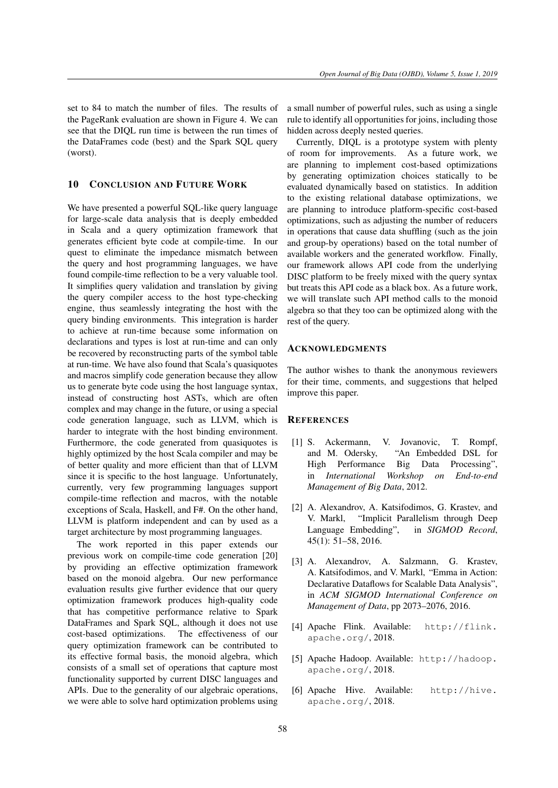set to 84 to match the number of files. The results of the PageRank evaluation are shown in Figure [4.](#page-22-0) We can see that the DIQL run time is between the run times of the DataFrames code (best) and the Spark SQL query (worst).

# 10 CONCLUSION AND FUTURE WORK

We have presented a powerful SOL-like query language for large-scale data analysis that is deeply embedded in Scala and a query optimization framework that generates efficient byte code at compile-time. In our quest to eliminate the impedance mismatch between the query and host programming languages, we have found compile-time reflection to be a very valuable tool. It simplifies query validation and translation by giving the query compiler access to the host type-checking engine, thus seamlessly integrating the host with the query binding environments. This integration is harder to achieve at run-time because some information on declarations and types is lost at run-time and can only be recovered by reconstructing parts of the symbol table at run-time. We have also found that Scala's quasiquotes and macros simplify code generation because they allow us to generate byte code using the host language syntax, instead of constructing host ASTs, which are often complex and may change in the future, or using a special code generation language, such as LLVM, which is harder to integrate with the host binding environment. Furthermore, the code generated from quasiquotes is highly optimized by the host Scala compiler and may be of better quality and more efficient than that of LLVM since it is specific to the host language. Unfortunately, currently, very few programming languages support compile-time reflection and macros, with the notable exceptions of Scala, Haskell, and F#. On the other hand, LLVM is platform independent and can by used as a target architecture by most programming languages.

The work reported in this paper extends our previous work on compile-time code generation [\[20\]](#page-24-4) by providing an effective optimization framework based on the monoid algebra. Our new performance evaluation results give further evidence that our query optimization framework produces high-quality code that has competitive performance relative to Spark DataFrames and Spark SQL, although it does not use cost-based optimizations. The effectiveness of our query optimization framework can be contributed to its effective formal basis, the monoid algebra, which consists of a small set of operations that capture most functionality supported by current DISC languages and APIs. Due to the generality of our algebraic operations, we were able to solve hard optimization problems using

a small number of powerful rules, such as using a single rule to identify all opportunities for joins, including those hidden across deeply nested queries.

Currently, DIQL is a prototype system with plenty of room for improvements. As a future work, we are planning to implement cost-based optimizations by generating optimization choices statically to be evaluated dynamically based on statistics. In addition to the existing relational database optimizations, we are planning to introduce platform-specific cost-based optimizations, such as adjusting the number of reducers in operations that cause data shuffling (such as the join and group-by operations) based on the total number of available workers and the generated workflow. Finally, our framework allows API code from the underlying DISC platform to be freely mixed with the query syntax but treats this API code as a black box. As a future work, we will translate such API method calls to the monoid algebra so that they too can be optimized along with the rest of the query.

# ACKNOWLEDGMENTS

The author wishes to thank the anonymous reviewers for their time, comments, and suggestions that helped improve this paper.

#### **REFERENCES**

- <span id="page-23-5"></span>[1] S. Ackermann, V. Jovanovic, T. Rompf, and M. Odersky, "An Embedded DSL for High Performance Big Data Processing", in *International Workshop on End-to-end Management of Big Data*, 2012.
- <span id="page-23-3"></span>[2] A. Alexandrov, A. Katsifodimos, G. Krastev, and V. Markl, "Implicit Parallelism through Deep Language Embedding", in *SIGMOD Record*, 45(1): 51–58, 2016.
- <span id="page-23-4"></span>[3] A. Alexandrov, A. Salzmann, G. Krastev, A. Katsifodimos, and V. Markl, "Emma in Action: Declarative Dataflows for Scalable Data Analysis", in *ACM SIGMOD International Conference on Management of Data*, pp 2073–2076, 2016.
- <span id="page-23-1"></span>[4] Apache Flink. Available: [http://flink.](http://flink.apache.org/) [apache.org/](http://flink.apache.org/), 2018.
- <span id="page-23-0"></span>[5] Apache Hadoop. Available: [http://hadoop.](http://hadoop.apache.org/) [apache.org/](http://hadoop.apache.org/), 2018.
- <span id="page-23-2"></span>[6] Apache Hive. Available: [http://hive.](http://hive.apache.org/) [apache.org/](http://hive.apache.org/), 2018.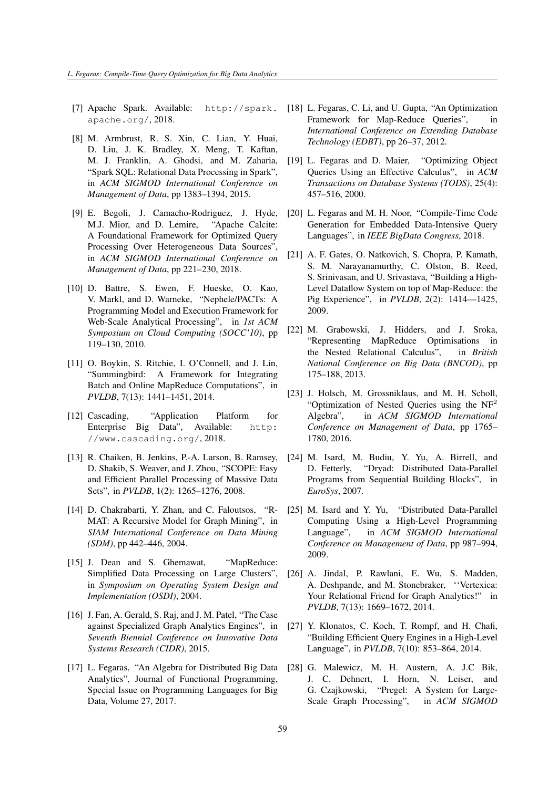- <span id="page-24-1"></span>[7] Apache Spark. Available: [http://spark.](http://spark.apache.org/) [apache.org/](http://spark.apache.org/), 2018.
- <span id="page-24-3"></span>[8] M. Armbrust, R. S. Xin, C. Lian, Y. Huai, D. Liu, J. K. Bradley, X. Meng, T. Kaftan, M. J. Franklin, A. Ghodsi, and M. Zaharia, "Spark SQL: Relational Data Processing in Spark", in *ACM SIGMOD International Conference on Management of Data*, pp 1383–1394, 2015.
- <span id="page-24-13"></span>[9] E. Begoli, J. Camacho-Rodriguez, J. Hyde, M.J. Mior, and D. Lemire, "Apache Calcite: A Foundational Framework for Optimized Query Processing Over Heterogeneous Data Sources", in *ACM SIGMOD International Conference on Management of Data*, pp 221–230, 2018.
- [10] D. Battre, S. Ewen, F. Hueske, O. Kao, V. Markl, and D. Warneke, "Nephele/PACTs: A Programming Model and Execution Framework for Web-Scale Analytical Processing", in *1st ACM Symposium on Cloud Computing (SOCC'10)*, pp 119–130, 2010.
- <span id="page-24-8"></span>[11] O. Boykin, S. Ritchie, I. O'Connell, and J. Lin, "Summingbird: A Framework for Integrating Batch and Online MapReduce Computations", in *PVLDB*, 7(13): 1441–1451, 2014.
- <span id="page-24-7"></span>[12] Cascading, "Application Platform for Enterprise Big Data", Available: [http:](http://www.cascading.org/) [//www.cascading.org/](http://www.cascading.org/), 2018.
- <span id="page-24-5"></span>[13] R. Chaiken, B. Jenkins, P.-A. Larson, B. Ramsey, D. Shakib, S. Weaver, and J. Zhou, "SCOPE: Easy and Efficient Parallel Processing of Massive Data Sets", in *PVLDB*, 1(2): 1265–1276, 2008.
- <span id="page-24-17"></span>[14] D. Chakrabarti, Y. Zhan, and C. Faloutsos, "R-MAT: A Recursive Model for Graph Mining", in *SIAM International Conference on Data Mining (SDM)*, pp 442–446, 2004.
- <span id="page-24-0"></span>[15] J. Dean and S. Ghemawat, "MapReduce: Simplified Data Processing on Large Clusters", in *Symposium on Operating System Design and Implementation (OSDI)*, 2004.
- <span id="page-24-11"></span>[16] J. Fan, A. Gerald, S. Raj, and J. M. Patel, "The Case against Specialized Graph Analytics Engines", in *Seventh Biennial Conference on Innovative Data Systems Research (CIDR)*, 2015.
- <span id="page-24-12"></span>[17] L. Fegaras, "An Algebra for Distributed Big Data Analytics", Journal of Functional Programming, Special Issue on Programming Languages for Big Data, Volume 27, 2017.
- <span id="page-24-2"></span>[18] L. Fegaras, C. Li, and U. Gupta, "An Optimization" Framework for Map-Reduce Queries", in *International Conference on Extending Database Technology (EDBT)*, pp 26–37, 2012.
- <span id="page-24-15"></span>[19] L. Fegaras and D. Maier, "Optimizing Object Queries Using an Effective Calculus", in *ACM Transactions on Database Systems (TODS)*, 25(4): 457–516, 2000.
- <span id="page-24-4"></span>[20] L. Fegaras and M. H. Noor, "Compile-Time Code Generation for Embedded Data-Intensive Query Languages", in *IEEE BigData Congress*, 2018.
- <span id="page-24-6"></span>[21] A. F. Gates, O. Natkovich, S. Chopra, P. Kamath, S. M. Narayanamurthy, C. Olston, B. Reed, S. Srinivasan, and U. Srivastava, "Building a High-Level Dataflow System on top of Map-Reduce: the Pig Experience", in *PVLDB*, 2(2): 1414—1425, 2009.
- [22] M. Grabowski, J. Hidders, and J. Sroka, "Representing MapReduce Optimisations in the Nested Relational Calculus", in *British National Conference on Big Data (BNCOD)*, pp 175–188, 2013.
- <span id="page-24-16"></span>[23] J. Holsch, M. Grossniklaus, and M. H. Scholl, "Optimization of Nested Queries using the NF<sup>2</sup> Algebra", in *ACM SIGMOD International Conference on Management of Data*, pp 1765– 1780, 2016.
- [24] M. Isard, M. Budiu, Y. Yu, A. Birrell, and D. Fetterly, "Dryad: Distributed Data-Parallel Programs from Sequential Building Blocks", in *EuroSys*, 2007.
- [25] M. Isard and Y. Yu, "Distributed Data-Parallel Computing Using a High-Level Programming Language", in *ACM SIGMOD International Conference on Management of Data*, pp 987–994, 2009.
- <span id="page-24-10"></span>[26] A. Jindal, P. Rawlani, E. Wu, S. Madden, A. Deshpande, and M. Stonebraker, ''Vertexica: Your Relational Friend for Graph Analytics!" in *PVLDB*, 7(13): 1669–1672, 2014.
- <span id="page-24-14"></span>[27] Y. Klonatos, C. Koch, T. Rompf, and H. Chafi, "Building Efficient Query Engines in a High-Level Language", in *PVLDB*, 7(10): 853–864, 2014.
- <span id="page-24-9"></span>[28] G. Malewicz, M. H. Austern, A. J.C Bik, J. C. Dehnert, I. Horn, N. Leiser, and G. Czajkowski, "Pregel: A System for Large-Scale Graph Processing", in *ACM SIGMOD*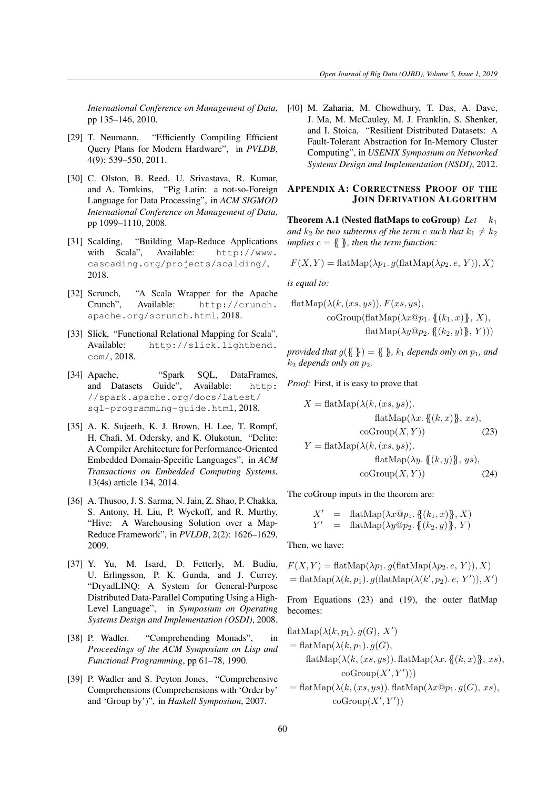*International Conference on Management of Data*, pp 135–146, 2010.

- <span id="page-25-7"></span>[29] T. Neumann, "Efficiently Compiling Efficient Query Plans for Modern Hardware", in *PVLDB*, 4(9): 539–550, 2011.
- <span id="page-25-2"></span>[30] C. Olston, B. Reed, U. Srivastava, R. Kumar, and A. Tomkins, "Pig Latin: a not-so-Foreign Language for Data Processing", in *ACM SIGMOD International Conference on Management of Data*, pp 1099–1110, 2008.
- <span id="page-25-0"></span>[31] Scalding, "Building Map-Reduce Applications with Scala", Available: [http://www.](http://www.cascading.org/projects/scalding/) [cascading.org/projects/scalding/](http://www.cascading.org/projects/scalding/), 2018.
- <span id="page-25-1"></span>[32] Scrunch, "A Scala Wrapper for the Apache Crunch", Available: [http://crunch.](http://crunch.apache.org/scrunch.html) [apache.org/scrunch.html](http://crunch.apache.org/scrunch.html), 2018.
- <span id="page-25-6"></span>[33] Slick, "Functional Relational Mapping for Scala", Available: [http://slick.lightbend.](http://slick.lightbend.com/) [com/](http://slick.lightbend.com/), 2018.
- <span id="page-25-3"></span>[34] Apache, "Spark SOL, DataFrames, and Datasets Guide", Available: [http:](http://spark.apache.org/docs/latest/sql-programming-guide.html) [//spark.apache.org/docs/latest/](http://spark.apache.org/docs/latest/sql-programming-guide.html) [sql-programming-guide.html](http://spark.apache.org/docs/latest/sql-programming-guide.html), 2018.
- [35] A. K. Sujeeth, K. J. Brown, H. Lee, T. Rompf, H. Chafi, M. Odersky, and K. Olukotun, "Delite: A Compiler Architecture for Performance-Oriented Embedded Domain-Specific Languages", in *ACM Transactions on Embedded Computing Systems*, 13(4s) article 134, 2014.
- <span id="page-25-4"></span>[36] A. Thusoo, J. S. Sarma, N. Jain, Z. Shao, P. Chakka, S. Antony, H. Liu, P. Wyckoff, and R. Murthy, "Hive: A Warehousing Solution over a Map-Reduce Framework", in *PVLDB*, 2(2): 1626–1629, 2009.
- <span id="page-25-5"></span>[37] Y. Yu, M. Isard, D. Fetterly, M. Budiu, U. Erlingsson, P. K. Gunda, and J. Currey, "DryadLINQ: A System for General-Purpose Distributed Data-Parallel Computing Using a High-Level Language", in *Symposium on Operating Systems Design and Implementation (OSDI)*, 2008.
- <span id="page-25-9"></span>[38] P. Wadler. "Comprehending Monads", in *Proceedings of the ACM Symposium on Lisp and Functional Programming*, pp 61–78, 1990.
- <span id="page-25-8"></span>[39] P. Wadler and S. Peyton Jones, "Comprehensive Comprehensions (Comprehensions with 'Order by' and 'Group by')", in *Haskell Symposium*, 2007.

[40] M. Zaharia, M. Chowdhury, T. Das, A. Dave, J. Ma, M. McCauley, M. J. Franklin, S. Shenker, and I. Stoica, "Resilient Distributed Datasets: A Fault-Tolerant Abstraction for In-Memory Cluster Computing", in *USENIX Symposium on Networked Systems Design and Implementation (NSDI)*, 2012.

# APPENDIX A: CORRECTNESS PROOF OF THE JOIN DERIVATION ALGORITHM

<span id="page-25-10"></span>Theorem A.1 (Nested flatMaps to coGroup) *Let* k<sup>1</sup> *and*  $k_2$  *be two subterms of the term e such that*  $k_1 \neq k_2$ *implies*  $e = \{\}$ , *then the term function:* 

$$
F(X, Y) = \text{flatMap}(\lambda p_1. g(\text{flatMap}(\lambda p_2. e, Y)), X)
$$

*is equal to:*

$$
\begin{aligned} \text{flatMap}(\lambda(k, (xs, ys)). & F(xs, ys), \\ \text{coGroup}(\text{flatMap}(\lambda x \mathbb{Q}p_1, \{ (k_1, x) \}, X), \\ \text{flatMap}(\lambda y \mathbb{Q}p_2, \{ (k_2, y) \}, Y))) \end{aligned}
$$

*provided that*  $g({\{\}\}) = {\{\}\}$ *, k<sub>1</sub> depends only on*  $p_1$ *, and*  $k_2$  *depends only on*  $p_2$ *.* 

*Proof:* First, it is easy to prove that

$$
X = \text{flatMap}(\lambda(k, (xs, ys)).
$$
  
\n
$$
\text{flatMap}(\lambda x. \{ (k, x) \}, xs),
$$
  
\n
$$
\text{coGroup}(X, Y))
$$
  
\n
$$
Y = \text{flatMap}(\lambda(k, (xs, ys)).
$$
  
\n(23)

<span id="page-25-12"></span><span id="page-25-11"></span>
$$
\text{flatMap}(\lambda y. \{ (k, y) \}, ys),
$$

$$
\text{coGroup}(X, Y))
$$
 (24)

The coGroup inputs in the theorem are:

$$
X' = \text{flatMap}(\lambda x \mathbb{Q}p_1, \{(k_1, x)\}, X)
$$
  

$$
Y' = \text{flatMap}(\lambda y \mathbb{Q}p_2, \{(k_2, y)\}, Y)
$$

Then, we have:

$$
F(X, Y) = \text{flatMap}(\lambda p_1. g(\text{flatMap}(\lambda p_2. e, Y)), X)
$$
  
= flatMap( $\lambda (k, p_1)$ .  $g(\text{flatMap}(\lambda (k', p_2). e, Y')), X')$ 

From Equations [\(23\)](#page-25-11) and [\(19\)](#page-14-3), the outer flatMap becomes:

$$
flatMap(\lambda(k, p_1). g(G), X')
$$
  
= flatMap(\lambda(k, p\_1). g(G),  
flatMap(\lambda(k, (xs, ys)). flatMap(\lambda x. {(k, x)}, s),  
coGroup(X', Y'))  
= flatMap(\lambda(k, (xs, ys)). flatMap(\lambda x@ne, g(G), x@)

 $=$  flatMap( $\lambda(k,(xs,ys))$ . flatMap( $\lambda x@p_1. g(G), xs$ ),  $coGroup(X',Y'))$